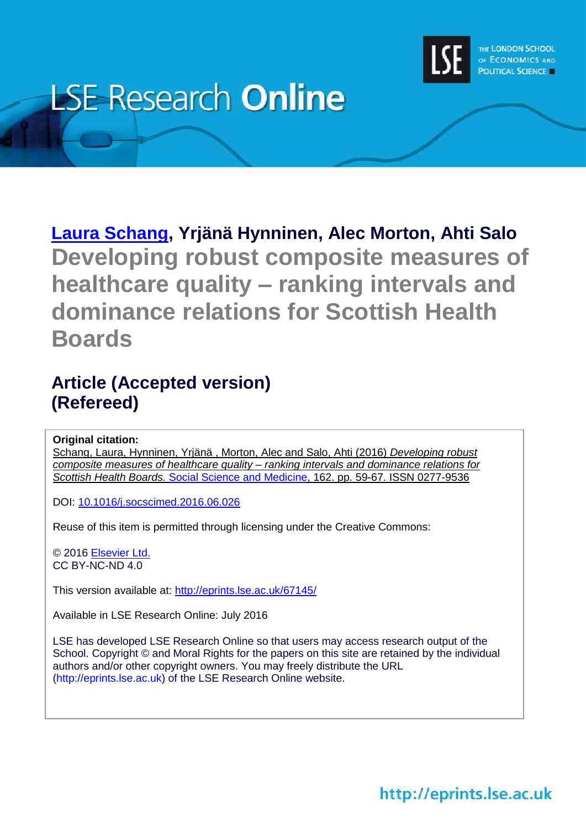

# **LSE Research Online**

**[Laura Schang,](http://www.lse.ac.uk/researchAndExpertise/Experts/profile.aspx?KeyValue=l.k.schang@lse.ac.uk) Yrjänä Hynninen, Alec Morton, Ahti Salo Developing robust composite measures of healthcare quality – ranking intervals and dominance relations for Scottish Health Boards**

# **Article (Accepted version) (Refereed)**

#### **Original citation:**

Schang, Laura, Hynninen, Yrjänä , Morton, Alec and Salo, Ahti (2016) *Developing robust composite measures of healthcare quality – ranking intervals and dominance relations for Scottish Health Boards.* [Social Science and Medicine,](http://www.journals.elsevier.com/social-science-and-medicine) 162. pp. 59-67. ISSN 0277-9536

DOI: [10.1016/j.socscimed.2016.06.026](http://dx.doi.org/10.1016/j.socscimed.2016.06.026)

Reuse of this item is permitted through licensing under the Creative Commons:

© 2016 [Elsevier Ltd.](http://www.elsevier.com/) CC BY-NC-ND 4.0

This version available at: <http://eprints.lse.ac.uk/67145/>

Available in LSE Research Online: July 2016

LSE has developed LSE Research Online so that users may access research output of the School. Copyright © and Moral Rights for the papers on this site are retained by the individual authors and/or other copyright owners. You may freely distribute the URL (http://eprints.lse.ac.uk) of the LSE Research Online website.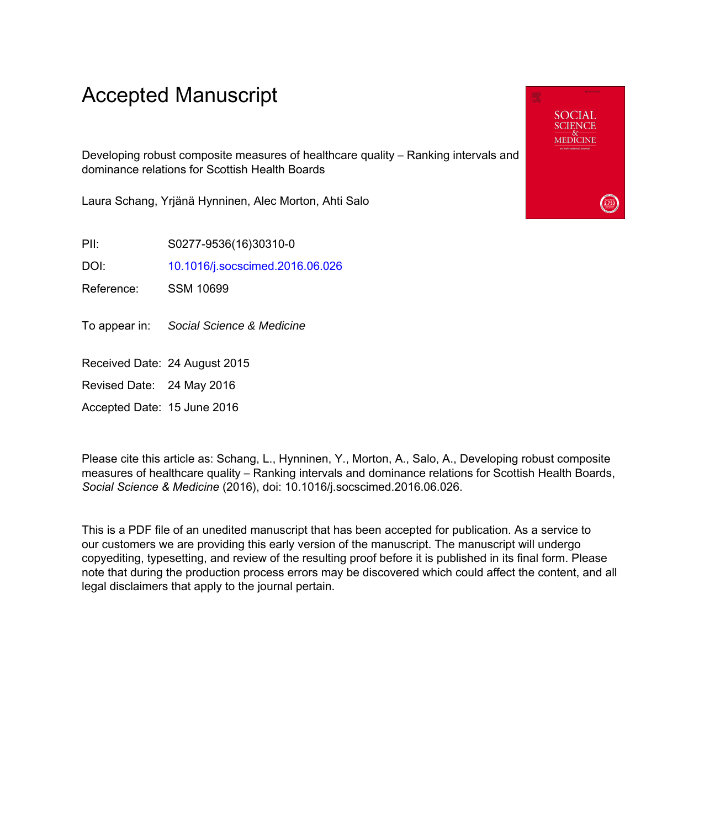# Accepted Manuscript

Developing robust composite measures of healthcare quality – Ranking intervals and dominance relations for Scottish Health Boards

Laura Schang, Yrjänä Hynninen, Alec Morton, Ahti Salo

PII: S0277-9536(16)30310-0

DOI: [10.1016/j.socscimed.2016.06.026](http://dx.doi.org/10.1016/j.socscimed.2016.06.026)

Reference: SSM 10699

To appear in: Social Science & Medicine

Received Date: 24 August 2015

Revised Date: 24 May 2016

Accepted Date: 15 June 2016

Please cite this article as: Schang, L., Hynninen, Y., Morton, A., Salo, A., Developing robust composite measures of healthcare quality – Ranking intervals and dominance relations for Scottish Health Boards, *Social Science & Medicine* (2016), doi: 10.1016/j.socscimed.2016.06.026.

This is a PDF file of an unedited manuscript that has been accepted for publication. As a service to our customers we are providing this early version of the manuscript. The manuscript will undergo copyediting, typesetting, and review of the resulting proof before it is published in its final form. Please note that during the production process errors may be discovered which could affect the content, and all legal disclaimers that apply to the journal pertain.

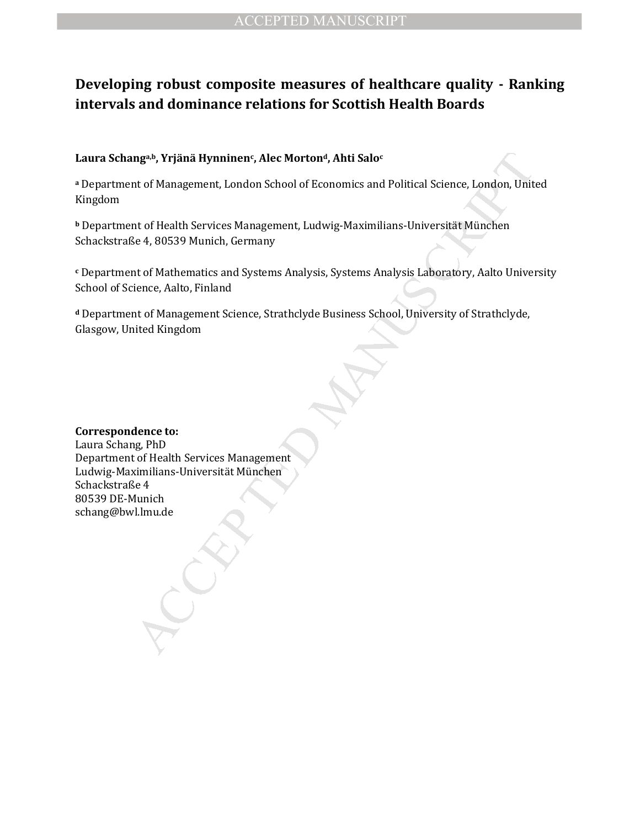# **Developing robust composite measures of healthcare quality - Ranking intervals and dominance relations for Scottish Health Boards**

#### **Laura Schanga,b, Yrjänä Hynninen<sup>c</sup> , Alec Mortond, Ahti Salo<sup>c</sup>**

**<sup>a</sup>** Department of Management, London School of Economics and Political Science, London, United Kingdom

**<sup>b</sup>** Department of Health Services Management, Ludwig-Maximilians-Universität München Schackstraße 4, 80539 Munich, Germany

**c** Department of Mathematics and Systems Analysis, Systems Analysis Laboratory, Aalto University School of Science, Aalto, Finland

**<sup>d</sup>** Department of Management Science, Strathclyde Business School, University of Strathclyde, Glasgow, United Kingdom

#### **Correspondence to:**

nga», Yrjänä Hynninens, Alec Morton<sup>g</sup>, Ahti Saloc<br>tu of Management, London School of Economics and Political Science, London, Unit<br>tu of Health Services Management, Ludwig-Maximilians-Universität München<br>te de 4, 80539 Mu Laura Schang, PhD Department of Health Services Management Ludwig-Maximilians-Universität München Schackstraße 4 80539 DE-Munich schang@bwl.lmu.de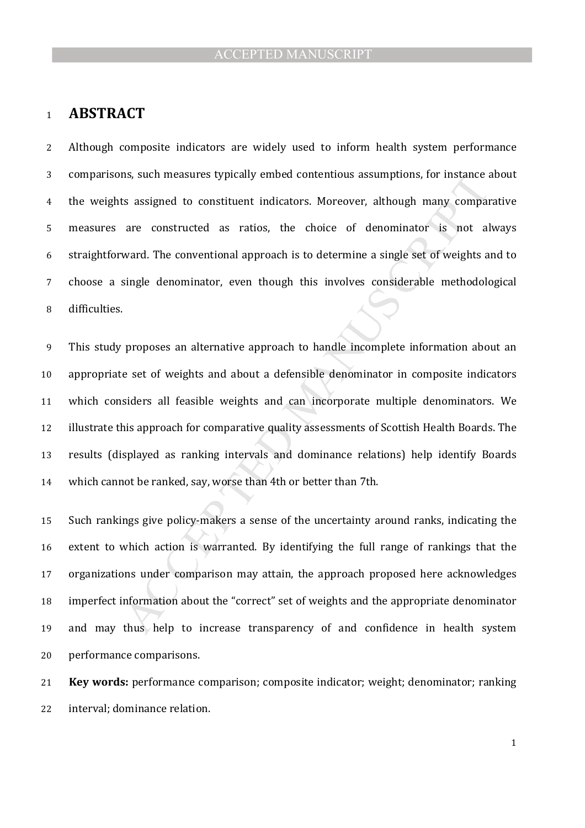#### **ABSTRACT**

Although composite indicators are widely used to inform health system performance comparisons, such measures typically embed contentious assumptions, for instance about the weights assigned to constituent indicators. Moreover, although many comparative measures are constructed as ratios, the choice of denominator is not always straightforward. The conventional approach is to determine a single set of weights and to choose a single denominator, even though this involves considerable methodological difficulties.

massing measures typically embed contentious assumptions, for instance and sassigned to constituent indicators. Moreover, although many comparane constructed as ratios, the choice of denominator is not al ward. The convent This study proposes an alternative approach to handle incomplete information about an appropriate set of weights and about a defensible denominator in composite indicators which considers all feasible weights and can incorporate multiple denominators. We illustrate this approach for comparative quality assessments of Scottish Health Boards. The results (displayed as ranking intervals and dominance relations) help identify Boards which cannot be ranked, say, worse than 4th or better than 7th.

Such rankings give policy-makers a sense of the uncertainty around ranks, indicating the extent to which action is warranted. By identifying the full range of rankings that the organizations under comparison may attain, the approach proposed here acknowledges imperfect information about the "correct" set of weights and the appropriate denominator and may thus help to increase transparency of and confidence in health system performance comparisons.

**Key words:** performance comparison; composite indicator; weight; denominator; ranking interval; dominance relation.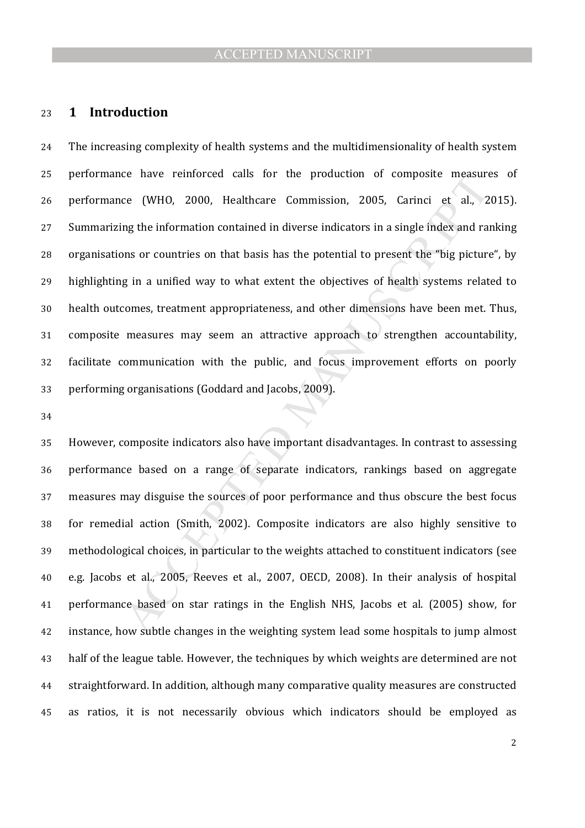#### **1 Introduction**

ce nave reinforced cans for the production of composite measure<br>ce (WHO, 2000, Healthcare Commission, 2005, Carinci et al., 2<br>mg the information contained in diverse indicators in a single index and rai<br>ons or countries on The increasing complexity of health systems and the multidimensionality of health system performance have reinforced calls for the production of composite measures of performance (WHO, 2000, Healthcare Commission, 2005, Carinci et al., 2015). Summarizing the information contained in diverse indicators in a single index and ranking organisations or countries on that basis has the potential to present the "big picture", by 29 highlighting in a unified way to what extent the objectives of health systems related to health outcomes, treatment appropriateness, and other dimensions have been met. Thus, composite measures may seem an attractive approach to strengthen accountability, facilitate communication with the public, and focus improvement efforts on poorly performing organisations (Goddard and Jacobs, 2009).

However, composite indicators also have important disadvantages. In contrast to assessing performance based on a range of separate indicators, rankings based on aggregate measures may disguise the sources of poor performance and thus obscure the best focus for remedial action (Smith, 2002). Composite indicators are also highly sensitive to methodological choices, in particular to the weights attached to constituent indicators (see e.g. Jacobs et al., 2005, Reeves et al., 2007, OECD, 2008). In their analysis of hospital performance based on star ratings in the English NHS, Jacobs et al. (2005) show, for instance, how subtle changes in the weighting system lead some hospitals to jump almost half of the league table. However, the techniques by which weights are determined are not straightforward. In addition, although many comparative quality measures are constructed as ratios, it is not necessarily obvious which indicators should be employed as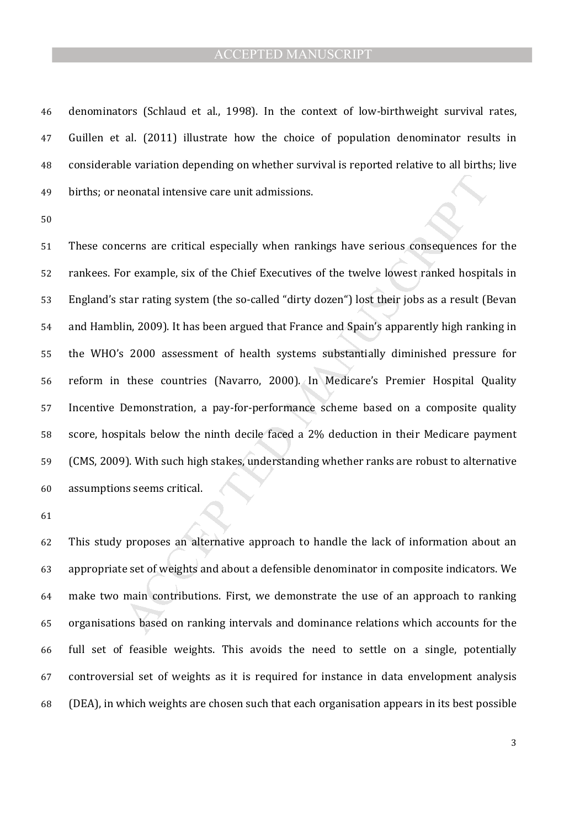denominators (Schlaud et al., 1998). In the context of low-birthweight survival rates, Guillen et al. (2011) illustrate how the choice of population denominator results in considerable variation depending on whether survival is reported relative to all births; live births; or neonatal intensive care unit admissions.

neonatal intensive care unit admissions.<br>
cerns are critical especially when rankings have serious consequences for<br>
or example, six of the Chief Executives of the twelve lowest ranked hospit<br>
star rating system (the so-ca These concerns are critical especially when rankings have serious consequences for the rankees. For example, six of the Chief Executives of the twelve lowest ranked hospitals in England's star rating system (the so-called "dirty dozen") lost their jobs as a result (Bevan and Hamblin, 2009). It has been argued that France and Spain's apparently high ranking in the WHO's 2000 assessment of health systems substantially diminished pressure for reform in these countries (Navarro, 2000). In Medicare's Premier Hospital Quality Incentive Demonstration, a pay-for-performance scheme based on a composite quality score, hospitals below the ninth decile faced a 2% deduction in their Medicare payment (CMS, 2009). With such high stakes, understanding whether ranks are robust to alternative assumptions seems critical.

This study proposes an alternative approach to handle the lack of information about an appropriate set of weights and about a defensible denominator in composite indicators. We make two main contributions. First, we demonstrate the use of an approach to ranking organisations based on ranking intervals and dominance relations which accounts for the full set of feasible weights. This avoids the need to settle on a single, potentially controversial set of weights as it is required for instance in data envelopment analysis (DEA), in which weights are chosen such that each organisation appears in its best possible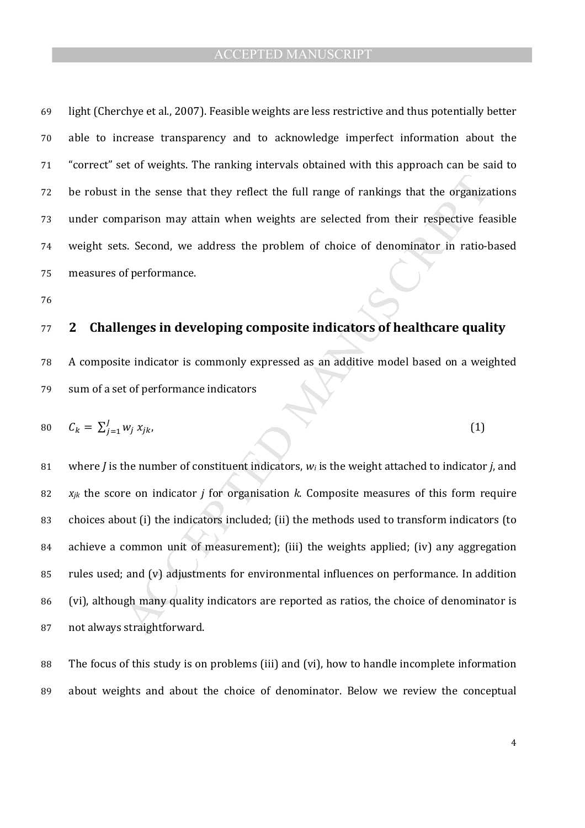light (Cherchye et al., 2007). Feasible weights are less restrictive and thus potentially better able to increase transparency and to acknowledge imperfect information about the "correct" set of weights. The ranking intervals obtained with this approach can be said to be robust in the sense that they reflect the full range of rankings that the organizations under comparison may attain when weights are selected from their respective feasible weight sets. Second, we address the problem of choice of denominator in ratio-based measures of performance.

# **2 Challenges in developing composite indicators of healthcare quality**

A composite indicator is commonly expressed as an additive model based on a weighted sum of a set of performance indicators

$$
c_k = \sum_{j=1}^{J} w_j x_{jk}, \qquad (1)
$$

in the sense that they reflect the full range of rankings that the organiza<br>parison may attain when weights are selected from their respective feas.<br>Second, we address the problem of choice of denominator in ratio-<br>of per where *J* is the number of constituent indicators, *wi* is the weight attached to indicator *j*, and *xjk* the score on indicator *j* for organisation *k*. Composite measures of this form require choices about (i) the indicators included; (ii) the methods used to transform indicators (to achieve a common unit of measurement); (iii) the weights applied; (iv) any aggregation rules used; and (v) adjustments for environmental influences on performance. In addition (vi), although many quality indicators are reported as ratios, the choice of denominator is not always straightforward.

The focus of this study is on problems (iii) and (vi), how to handle incomplete information about weights and about the choice of denominator. Below we review the conceptual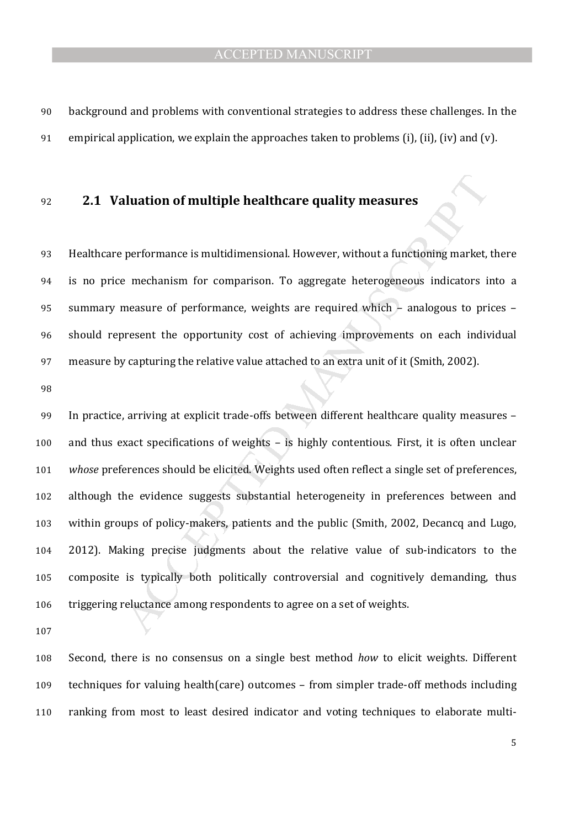background and problems with conventional strategies to address these challenges. In the 91 empirical application, we explain the approaches taken to problems (i), (ii), (iv) and (v).

# **2.1 Valuation of multiple healthcare quality measures**

Healthcare performance is multidimensional. However, without a functioning market, there is no price mechanism for comparison. To aggregate heterogeneous indicators into a summary measure of performance, weights are required which – analogous to prices – should represent the opportunity cost of achieving improvements on each individual measure by capturing the relative value attached to an extra unit of it (Smith, 2002).

**aluation of multiple healthcare quality measures**<br>performance is multidimensional. However, without a functioning market,<br>e mechanism for comparison. To aggregate heterogeneous indicators is<br>measure of performance, weight In practice, arriving at explicit trade-offs between different healthcare quality measures – and thus exact specifications of weights – is highly contentious. First, it is often unclear *whose* preferences should be elicited. Weights used often reflect a single set of preferences, although the evidence suggests substantial heterogeneity in preferences between and within groups of policy-makers, patients and the public (Smith, 2002, Decancq and Lugo, 2012). Making precise judgments about the relative value of sub-indicators to the composite is typically both politically controversial and cognitively demanding, thus triggering reluctance among respondents to agree on a set of weights.

Second, there is no consensus on a single best method *how* to elicit weights. Different techniques for valuing health(care) outcomes – from simpler trade-off methods including ranking from most to least desired indicator and voting techniques to elaborate multi-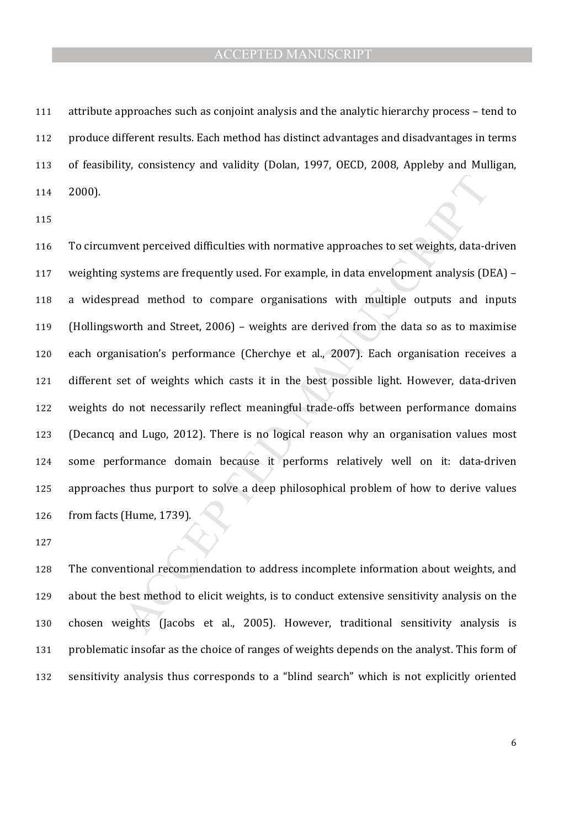attribute approaches such as conjoint analysis and the analytic hierarchy process – tend to produce different results. Each method has distinct advantages and disadvantages in terms of feasibility, consistency and validity (Dolan, 1997, OECD, 2008, Appleby and Mulligan, 2000).

vent perceived difficulties with normative approaches to set weights, data-d<br>systems are frequently used. For example, in data envelopment analysis (D<br>ead method to compare organisations with multiple outputs and in<br>orth a To circumvent perceived difficulties with normative approaches to set weights, data-driven weighting systems are frequently used. For example, in data envelopment analysis (DEA) – a widespread method to compare organisations with multiple outputs and inputs (Hollingsworth and Street, 2006) – weights are derived from the data so as to maximise each organisation's performance (Cherchye et al., 2007). Each organisation receives a different set of weights which casts it in the best possible light. However, data-driven weights do not necessarily reflect meaningful trade-offs between performance domains (Decancq and Lugo, 2012). There is no logical reason why an organisation values most some performance domain because it performs relatively well on it: data-driven approaches thus purport to solve a deep philosophical problem of how to derive values from facts (Hume, 1739).

The conventional recommendation to address incomplete information about weights, and about the best method to elicit weights, is to conduct extensive sensitivity analysis on the chosen weights (Jacobs et al., 2005). However, traditional sensitivity analysis is problematic insofar as the choice of ranges of weights depends on the analyst. This form of sensitivity analysis thus corresponds to a "blind search" which is not explicitly oriented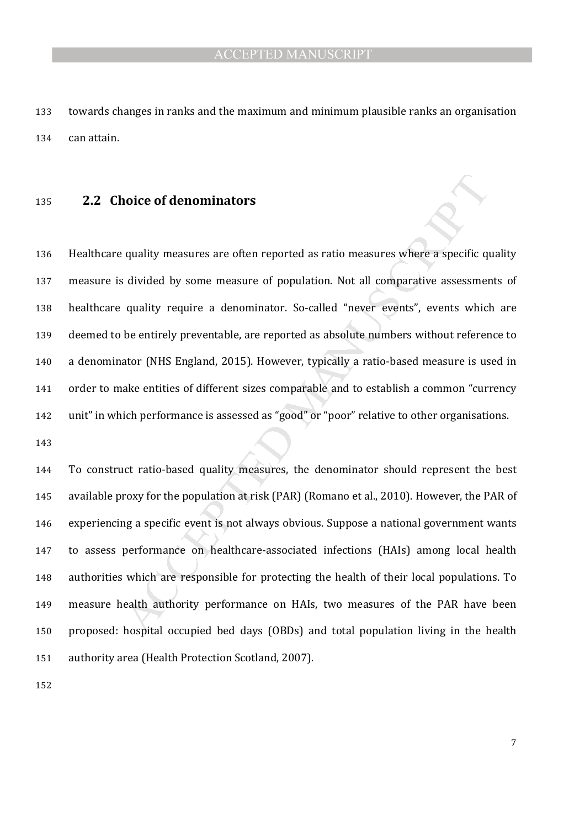towards changes in ranks and the maximum and minimum plausible ranks an organisation can attain.

#### **2.2 Choice of denominators**

**noice of denominators**<br>quality measures are often reported as ratio measures where a specific qu<br>divided by some measure of population. Not all comparative assessmen<br>quality require a denominator. So-called "never events" Healthcare quality measures are often reported as ratio measures where a specific quality measure is divided by some measure of population. Not all comparative assessments of healthcare quality require a denominator. So-called "never events", events which are deemed to be entirely preventable, are reported as absolute numbers without reference to a denominator (NHS England, 2015). However, typically a ratio-based measure is used in order to make entities of different sizes comparable and to establish a common "currency unit" in which performance is assessed as "good" or "poor" relative to other organisations.

To construct ratio-based quality measures, the denominator should represent the best available proxy for the population at risk (PAR) (Romano et al., 2010). However, the PAR of experiencing a specific event is not always obvious. Suppose a national government wants to assess performance on healthcare-associated infections (HAIs) among local health authorities which are responsible for protecting the health of their local populations. To measure health authority performance on HAIs, two measures of the PAR have been proposed: hospital occupied bed days (OBDs) and total population living in the health authority area (Health Protection Scotland, 2007).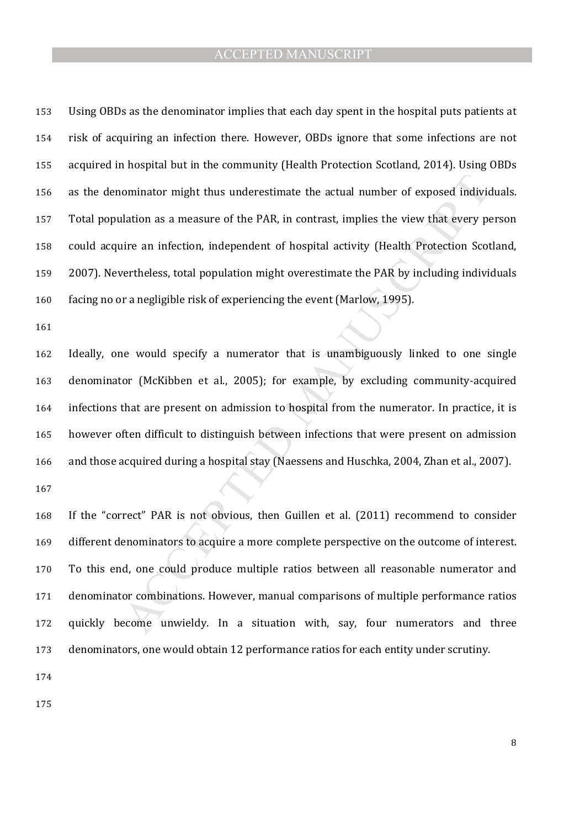Using OBDs as the denominator implies that each day spent in the hospital puts patients at risk of acquiring an infection there. However, OBDs ignore that some infections are not acquired in hospital but in the community (Health Protection Scotland, 2014). Using OBDs as the denominator might thus underestimate the actual number of exposed individuals. Total population as a measure of the PAR, in contrast, implies the view that every person could acquire an infection, independent of hospital activity (Health Protection Scotland, 2007). Nevertheless, total population might overestimate the PAR by including individuals facing no or a negligible risk of experiencing the event (Marlow, 1995).

ominator might thus underestimate the actual number of exposed individual<br>ation as a measure of the PAR, in contrast, implies the view that every pu<br>ire an infection, independent of hospital activity (Health Protection Sco Ideally, one would specify a numerator that is unambiguously linked to one single denominator (McKibben et al., 2005); for example, by excluding community-acquired infections that are present on admission to hospital from the numerator. In practice, it is however often difficult to distinguish between infections that were present on admission and those acquired during a hospital stay (Naessens and Huschka, 2004, Zhan et al., 2007). 

If the "correct" PAR is not obvious, then Guillen et al. (2011) recommend to consider 169 different denominators to acquire a more complete perspective on the outcome of interest. To this end, one could produce multiple ratios between all reasonable numerator and denominator combinations. However, manual comparisons of multiple performance ratios quickly become unwieldy. In a situation with, say, four numerators and three denominators, one would obtain 12 performance ratios for each entity under scrutiny.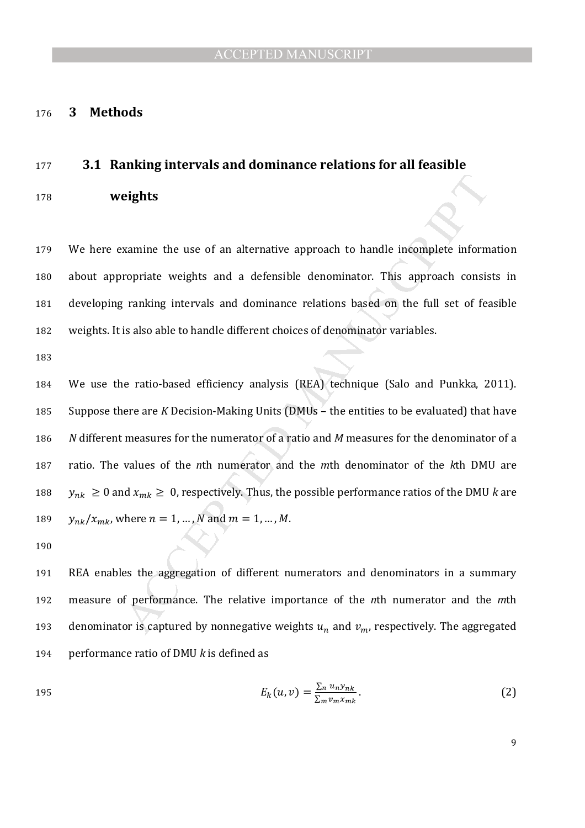#### **3 Methods**

#### **3.1 Ranking intervals and dominance relations for all feasible**

**weights** 

We here examine the use of an alternative approach to handle incomplete information about appropriate weights and a defensible denominator. This approach consists in developing ranking intervals and dominance relations based on the full set of feasible weights. It is also able to handle different choices of denominator variables.

**eights**<br>
eights<br>
examine the use of an alternative approach to handle incomplete inform<br>
ropriate weights and a defensible denominator. This approach consist<br>
ranking intervals and dominance relations based on the full s We use the ratio-based efficiency analysis (REA) technique (Salo and Punkka, 2011). Suppose there are *K* Decision-Making Units (DMUs – the entities to be evaluated) that have *N* different measures for the numerator of a ratio and *M* measures for the denominator of a ratio. The values of the *n*th numerator and the *m*th denominator of the *k*th DMU are  $y_{nk} \geq 0$  and  $x_{mk} \geq 0$ , respectively. Thus, the possible performance ratios of the DMU *k* are  $y_{nk}/x_{mk}$ , where  $n = 1, ..., N$  and  $m = 1, ..., M$ .

REA enables the aggregation of different numerators and denominators in a summary measure of performance. The relative importance of the *n*th numerator and the *m*th 193 denominator is captured by nonnegative weights  $u_n$  and  $v_m$ , respectively. The aggregated performance ratio of DMU *k* is defined as

$$
E_k(u,v) = \frac{\sum_n u_n y_{nk}}{\sum_m v_m x_{mk}}.
$$
 (2)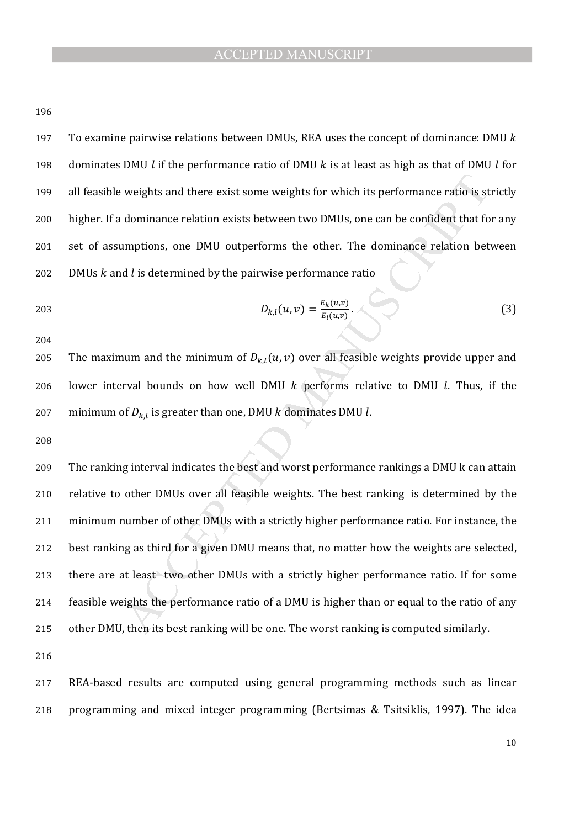197 To examine pairwise relations between DMUs, REA uses the concept of dominance: DMU  $k$ 198 dominates DMU *l* if the performance ratio of DMU *k* is at least as high as that of DMU *l* for all feasible weights and there exist some weights for which its performance ratio is strictly higher. If a dominance relation exists between two DMUs, one can be confident that for any set of assumptions, one DMU outperforms the other. The dominance relation between 202 DMUs  $k$  and  $l$  is determined by the pairwise performance ratio

203 
$$
D_{k,l}(u,v) = \frac{E_k(u,v)}{E_l(u,v)}.
$$
 (3)

205 The maximum and the minimum of  $D_{k,l}(u,v)$  over all feasible weights provide upper and 206 lower interval bounds on how well DMU  $k$  performs relative to DMU  $l$ . Thus, if the 207 minimum of  $D_{k,l}$  is greater than one, DMU  $k$  dominates DMU  $l$ .

weights and there exist some weights for which its performance ratio is st<br>dominance relation exists between two DMUs, one can be confident that for<br>amptions, one DMU outperforms the other. The dominance relation bet<br>d *l* The ranking interval indicates the best and worst performance rankings a DMU k can attain relative to other DMUs over all feasible weights. The best ranking is determined by the minimum number of other DMUs with a strictly higher performance ratio. For instance, the best ranking as third for a given DMU means that, no matter how the weights are selected, there are at least two other DMUs with a strictly higher performance ratio. If for some feasible weights the performance ratio of a DMU is higher than or equal to the ratio of any other DMU, then its best ranking will be one. The worst ranking is computed similarly.

REA-based results are computed using general programming methods such as linear programming and mixed integer programming (Bertsimas & Tsitsiklis, 1997). The idea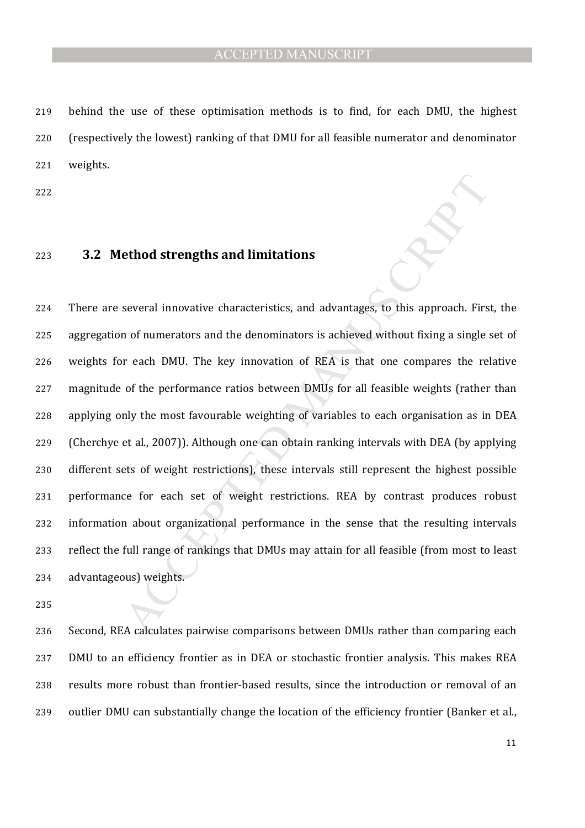behind the use of these optimisation methods is to find, for each DMU, the highest (respectively the lowest) ranking of that DMU for all feasible numerator and denominator weights.

#### **3.2 Method strengths and limitations**

**Ethod strengths and limitations**<br>
several innovative characteristics, and advantages, to this approach. First<br>
n of numerators and the denominators is achieved without fixing a single :<br>
ir each DMU. The key innovation of There are several innovative characteristics, and advantages, to this approach. First, the aggregation of numerators and the denominators is achieved without fixing a single set of weights for each DMU. The key innovation of REA is that one compares the relative magnitude of the performance ratios between DMUs for all feasible weights (rather than applying only the most favourable weighting of variables to each organisation as in DEA (Cherchye et al., 2007)). Although one can obtain ranking intervals with DEA (by applying different sets of weight restrictions), these intervals still represent the highest possible performance for each set of weight restrictions. REA by contrast produces robust information about organizational performance in the sense that the resulting intervals reflect the full range of rankings that DMUs may attain for all feasible (from most to least advantageous) weights.

Second, REA calculates pairwise comparisons between DMUs rather than comparing each DMU to an efficiency frontier as in DEA or stochastic frontier analysis. This makes REA results more robust than frontier-based results, since the introduction or removal of an outlier DMU can substantially change the location of the efficiency frontier (Banker et al.,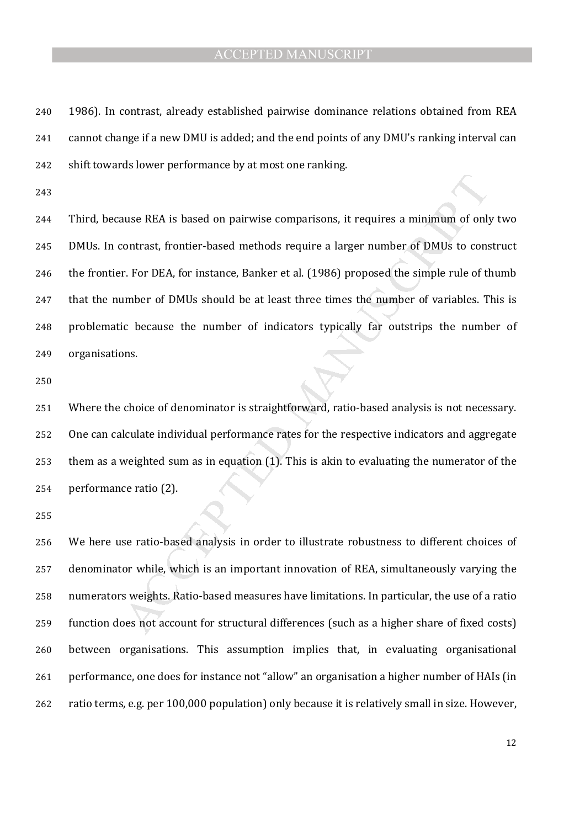- 1986). In contrast, already established pairwise dominance relations obtained from REA cannot change if a new DMU is added; and the end points of any DMU's ranking interval can shift towards lower performance by at most one ranking.
- 

aluse REA is based on pairwise comparisons, it requires a minimum of only<br>contrast, frontier-based methods require a larger number of DMUs to cons<br>r. For DEA, for instance, Banker et al. (1986) proposed the simple rule of Third, because REA is based on pairwise comparisons, it requires a minimum of only two DMUs. In contrast, frontier-based methods require a larger number of DMUs to construct the frontier. For DEA, for instance, Banker et al. (1986) proposed the simple rule of thumb that the number of DMUs should be at least three times the number of variables. This is problematic because the number of indicators typically far outstrips the number of organisations.

Where the choice of denominator is straightforward, ratio-based analysis is not necessary. One can calculate individual performance rates for the respective indicators and aggregate them as a weighted sum as in equation (1). This is akin to evaluating the numerator of the performance ratio (2).

We here use ratio-based analysis in order to illustrate robustness to different choices of denominator while, which is an important innovation of REA, simultaneously varying the numerators weights. Ratio-based measures have limitations. In particular, the use of a ratio function does not account for structural differences (such as a higher share of fixed costs) between organisations. This assumption implies that, in evaluating organisational performance, one does for instance not "allow" an organisation a higher number of HAIs (in ratio terms, e.g. per 100,000 population) only because it is relatively small in size. However,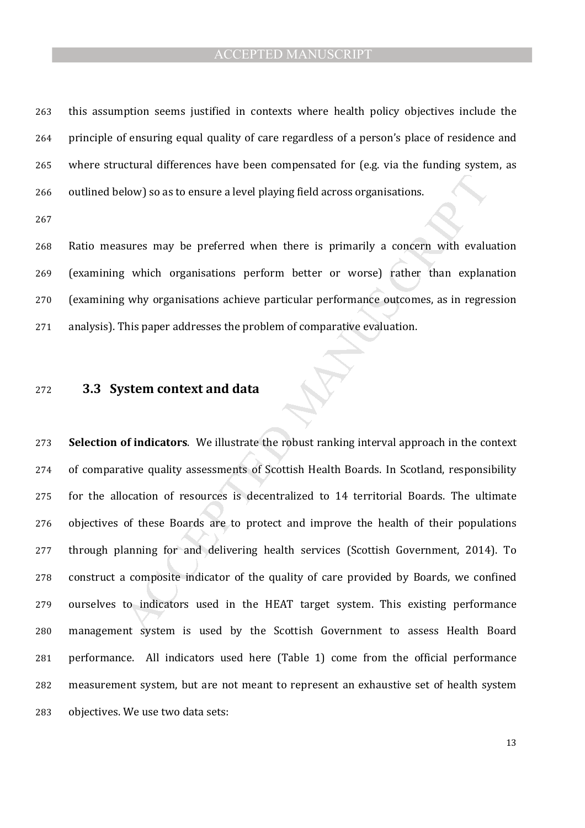this assumption seems justified in contexts where health policy objectives include the principle of ensuring equal quality of care regardless of a person's place of residence and where structural differences have been compensated for (e.g. via the funding system, as outlined below) so as to ensure a level playing field across organisations.

Ratio measures may be preferred when there is primarily a concern with evaluation (examining which organisations perform better or worse) rather than explanation (examining why organisations achieve particular performance outcomes, as in regression analysis). This paper addresses the problem of comparative evaluation.

#### **3.3 System context and data**

abow) so as to ensure a level playing field across organisations.<br>
sures may be preferred when there is primarily a concern with evalue<br>
y which organisations perform better or worse) rather than explan<br>
y why organisation **Selection of indicators**. We illustrate the robust ranking interval approach in the context of comparative quality assessments of Scottish Health Boards. In Scotland, responsibility for the allocation of resources is decentralized to 14 territorial Boards. The ultimate objectives of these Boards are to protect and improve the health of their populations through planning for and delivering health services (Scottish Government, 2014). To construct a composite indicator of the quality of care provided by Boards, we confined ourselves to indicators used in the HEAT target system. This existing performance management system is used by the Scottish Government to assess Health Board performance. All indicators used here (Table 1) come from the official performance measurement system, but are not meant to represent an exhaustive set of health system objectives. We use two data sets: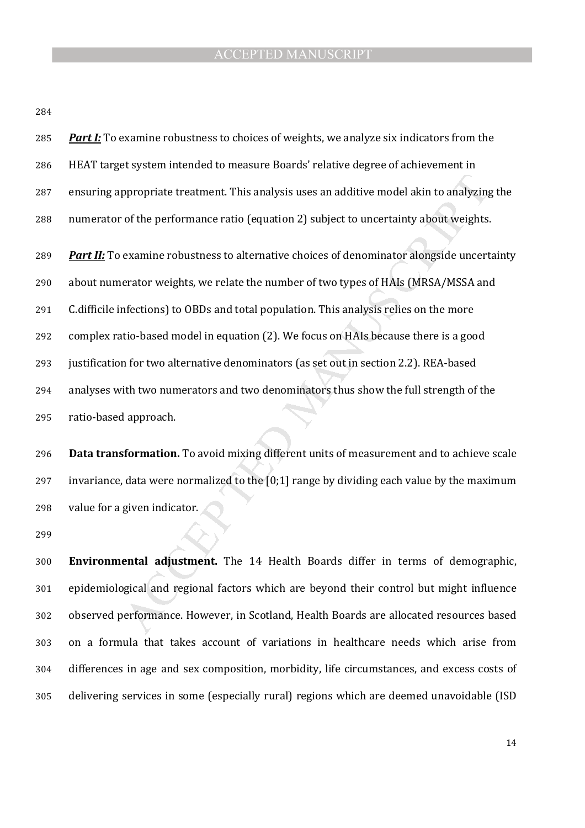| 285 | <b>Part I:</b> To examine robustness to choices of weights, we analyze six indicators from the    |
|-----|---------------------------------------------------------------------------------------------------|
| 286 | HEAT target system intended to measure Boards' relative degree of achievement in                  |
| 287 | ensuring appropriate treatment. This analysis uses an additive model akin to analyzing the        |
| 288 | numerator of the performance ratio (equation 2) subject to uncertainty about weights.             |
| 289 | <b>Part II:</b> To examine robustness to alternative choices of denominator alongside uncertainty |
| 290 | about numerator weights, we relate the number of two types of HAIs (MRSA/MSSA and                 |
| 291 | C.difficile infections) to OBDs and total population. This analysis relies on the more            |
| 292 | complex ratio-based model in equation (2). We focus on HAIs because there is a good               |
| 293 | justification for two alternative denominators (as set out in section 2.2). REA-based             |
| 294 | analyses with two numerators and two denominators thus show the full strength of the              |
| 295 | ratio-based approach.                                                                             |
|     |                                                                                                   |
| 296 | Data transformation. To avoid mixing different units of measurement and to achieve scale          |
| 297 | invariance, data were normalized to the [0;1] range by dividing each value by the maximum         |
| 298 | value for a given indicator.                                                                      |
| 299 |                                                                                                   |
| 300 | Environmental adjustment. The 14 Health Boards differ in terms of demographic,                    |
|     |                                                                                                   |
| 301 | epidemiological and regional factors which are beyond their control but might influence           |
| 302 | observed performance. However, in Scotland, Health Boards are allocated resources based           |

**Environmental adjustment.** The 14 Health Boards differ in terms of demographic, epidemiological and regional factors which are beyond their control but might influence observed performance. However, in Scotland, Health Boards are allocated resources based on a formula that takes account of variations in healthcare needs which arise from differences in age and sex composition, morbidity, life circumstances, and excess costs of delivering services in some (especially rural) regions which are deemed unavoidable (ISD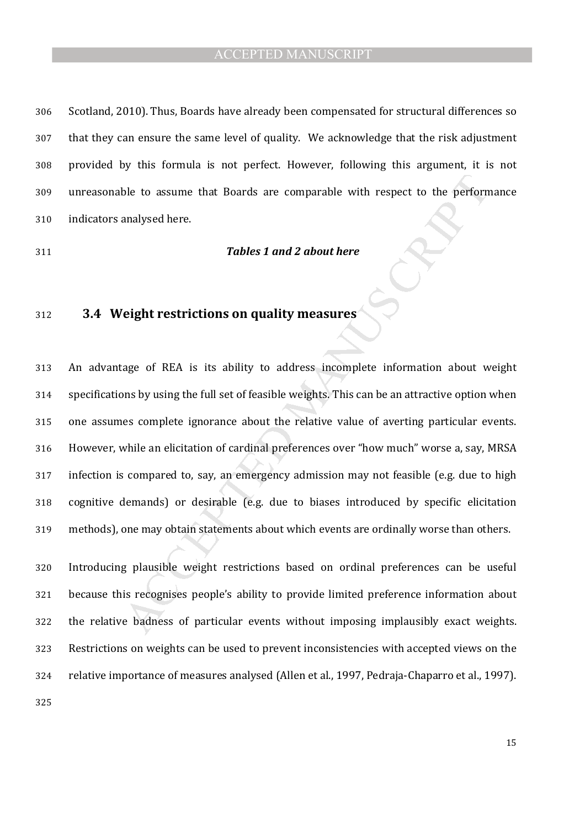Scotland, 2010). Thus, Boards have already been compensated for structural differences so that they can ensure the same level of quality. We acknowledge that the risk adjustment provided by this formula is not perfect. However, following this argument, it is not unreasonable to assume that Boards are comparable with respect to the performance indicators analysed here.

#### *Tables 1 and 2 about here*

# **3.4 Weight restrictions on quality measures**

ble to assume that Boards are comparable with respect to the perform<br>analysed here.<br> **Tables 1 and 2 about here**<br> **Ceight restrictions on quality measures**<br> **Ceight restrictions on quality measures**<br>
age of REA is its abil An advantage of REA is its ability to address incomplete information about weight specifications by using the full set of feasible weights. This can be an attractive option when one assumes complete ignorance about the relative value of averting particular events. However, while an elicitation of cardinal preferences over "how much" worse a, say, MRSA infection is compared to, say, an emergency admission may not feasible (e.g. due to high cognitive demands) or desirable (e.g. due to biases introduced by specific elicitation methods), one may obtain statements about which events are ordinally worse than others.

Introducing plausible weight restrictions based on ordinal preferences can be useful because this recognises people's ability to provide limited preference information about the relative badness of particular events without imposing implausibly exact weights. Restrictions on weights can be used to prevent inconsistencies with accepted views on the relative importance of measures analysed (Allen et al., 1997, Pedraja-Chaparro et al., 1997).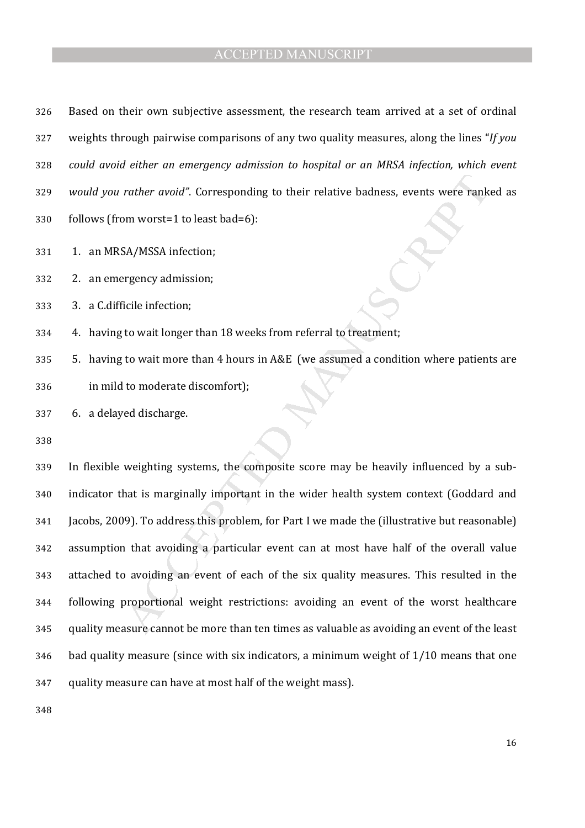rather avoid". Corresponding to their relative badness, events were rank<br>om worst=1 to least bad=6):<br>SA/MSSA infection;<br>SA/MSSA infection;<br>regency admission;<br>regency admission;<br>regency admission;<br>to wait Inoger than 18 wee Based on their own subjective assessment, the research team arrived at a set of ordinal weights through pairwise comparisons of any two quality measures, along the lines "*If you could avoid either an emergency admission to hospital or an MRSA infection, which event would you rather avoid"*. Corresponding to their relative badness, events were ranked as follows (from worst=1 to least bad=6): 331 1. an MRSA/MSSA infection; 2. an emergency admission; 3. a C.difficile infection; 4. having to wait longer than 18 weeks from referral to treatment; 5. having to wait more than 4 hours in A&E (we assumed a condition where patients are in mild to moderate discomfort); 6. a delayed discharge.

In flexible weighting systems, the composite score may be heavily influenced by a sub-indicator that is marginally important in the wider health system context (Goddard and Jacobs, 2009). To address this problem, for Part I we made the (illustrative but reasonable) assumption that avoiding a particular event can at most have half of the overall value attached to avoiding an event of each of the six quality measures. This resulted in the following proportional weight restrictions: avoiding an event of the worst healthcare quality measure cannot be more than ten times as valuable as avoiding an event of the least bad quality measure (since with six indicators, a minimum weight of 1/10 means that one quality measure can have at most half of the weight mass).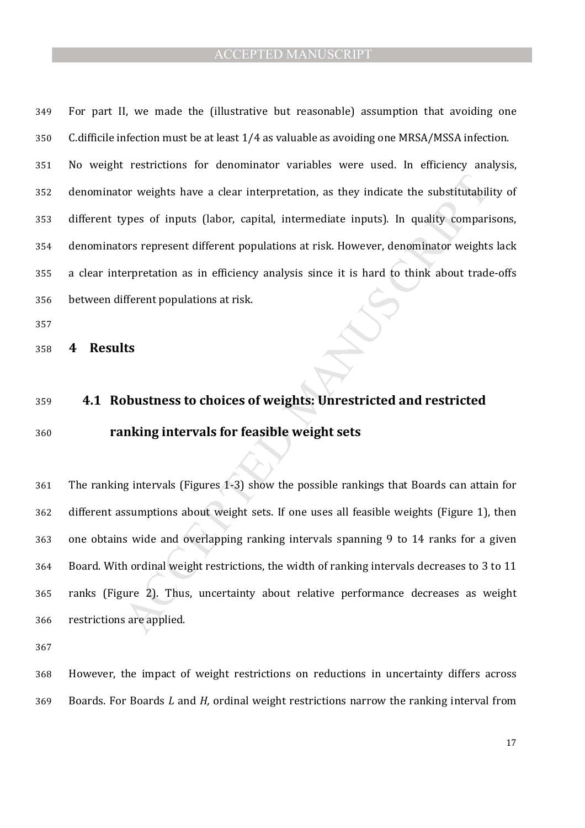For part II, we made the (illustrative but reasonable) assumption that avoiding one C.difficile infection must be at least 1/4 as valuable as avoiding one MRSA/MSSA infection.

No weight restrictions for denominator variables were used. In efficiency analysis, denominator weights have a clear interpretation, as they indicate the substitutability of different types of inputs (labor, capital, intermediate inputs). In quality comparisons, denominators represent different populations at risk. However, denominator weights lack a clear interpretation as in efficiency analysis since it is hard to think about trade-offs between different populations at risk.

**4 Results** 

### **4.1 Robustness to choices of weights: Unrestricted and restricted**

### **ranking intervals for feasible weight sets**

or weights have a clear interpretation, as they indicate the substitutabily<br>pres of inputs (labor, capital, intermediate inputs). In quality compari<br>ors represent different populations at risk. However, denominator weight<br> The ranking intervals (Figures 1-3) show the possible rankings that Boards can attain for different assumptions about weight sets. If one uses all feasible weights (Figure 1), then one obtains wide and overlapping ranking intervals spanning 9 to 14 ranks for a given Board. With ordinal weight restrictions, the width of ranking intervals decreases to 3 to 11 ranks (Figure 2). Thus, uncertainty about relative performance decreases as weight restrictions are applied.

However, the impact of weight restrictions on reductions in uncertainty differs across Boards. For Boards *L* and *H,* ordinal weight restrictions narrow the ranking interval from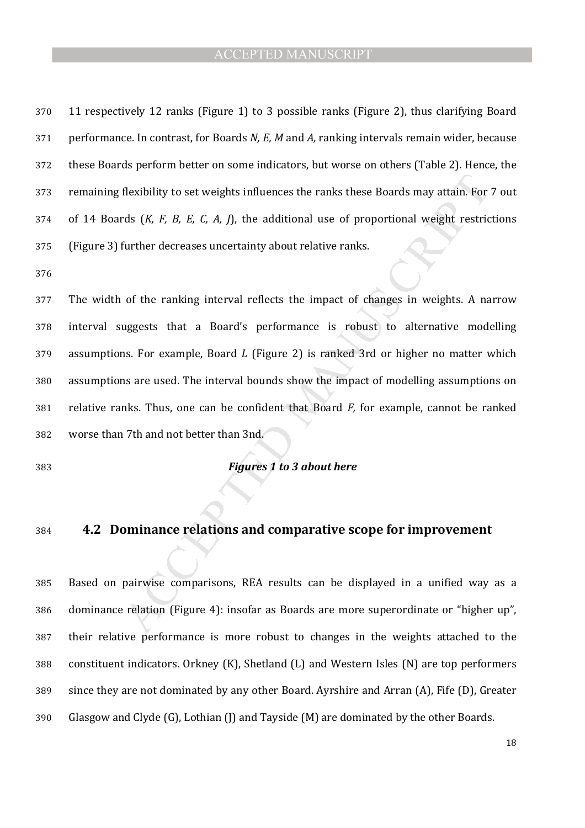11 respectively 12 ranks (Figure 1) to 3 possible ranks (Figure 2), thus clarifying Board performance. In contrast, for Boards *N, E, M* and *A,* ranking intervals remain wider, because these Boards perform better on some indicators, but worse on others (Table 2). Hence, the remaining flexibility to set weights influences the ranks these Boards may attain. For 7 out of 14 Boards (*K, F, B, E, C, A, J*), the additional use of proportional weight restrictions (Figure 3) further decreases uncertainty about relative ranks.

flexibility to set weights influences the ranks these Boards may attain. For<br>rds (*K, F, B, E, C, A, J*), the additional use of proportional weight restric<br>further decreases uncertainty about relative ranks.<br>of the rankin The width of the ranking interval reflects the impact of changes in weights. A narrow interval suggests that a Board's performance is robust to alternative modelling assumptions. For example, Board *L* (Figure 2) is ranked 3rd or higher no matter which assumptions are used. The interval bounds show the impact of modelling assumptions on relative ranks. Thus, one can be confident that Board *F,* for example, cannot be ranked worse than 7th and not better than 3nd.

#### *Figures 1 to 3 about here*

#### **4.2 Dominance relations and comparative scope for improvement**

Based on pairwise comparisons, REA results can be displayed in a unified way as a dominance relation (Figure 4): insofar as Boards are more superordinate or "higher up", their relative performance is more robust to changes in the weights attached to the constituent indicators. Orkney (K), Shetland (L) and Western Isles (N) are top performers since they are not dominated by any other Board. Ayrshire and Arran (A), Fife (D), Greater Glasgow and Clyde (G), Lothian (J) and Tayside (M) are dominated by the other Boards.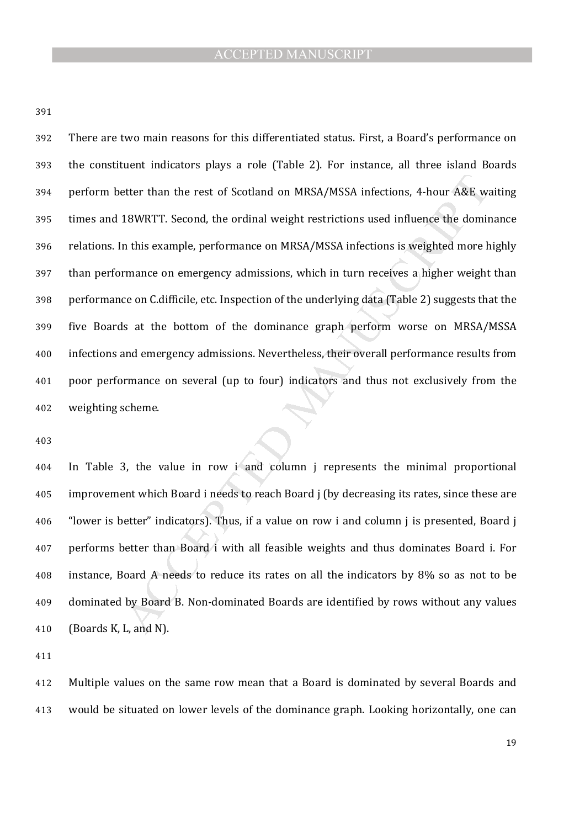etter than the rest of Scotland on MRSA/MSSA infections, 4-hour A&E w:<br>18WRTT. Second, the ordinal weight restrictions used influence the domin<br>18WRTT. Second, the ordinal weight restrictions used influence the domin<br>18 m There are two main reasons for this differentiated status. First, a Board's performance on the constituent indicators plays a role (Table 2). For instance, all three island Boards perform better than the rest of Scotland on MRSA/MSSA infections, 4-hour A&E waiting times and 18WRTT. Second, the ordinal weight restrictions used influence the dominance relations. In this example, performance on MRSA/MSSA infections is weighted more highly than performance on emergency admissions, which in turn receives a higher weight than performance on C.difficile, etc. Inspection of the underlying data (Table 2) suggests that the five Boards at the bottom of the dominance graph perform worse on MRSA/MSSA infections and emergency admissions. Nevertheless, their overall performance results from poor performance on several (up to four) indicators and thus not exclusively from the weighting scheme.

In Table 3, the value in row i and column j represents the minimal proportional improvement which Board i needs to reach Board j (by decreasing its rates, since these are "lower is better" indicators). Thus, if a value on row i and column j is presented, Board j performs better than Board i with all feasible weights and thus dominates Board i. For instance, Board A needs to reduce its rates on all the indicators by 8% so as not to be dominated by Board B. Non-dominated Boards are identified by rows without any values (Boards K, L, and N).

Multiple values on the same row mean that a Board is dominated by several Boards and would be situated on lower levels of the dominance graph. Looking horizontally, one can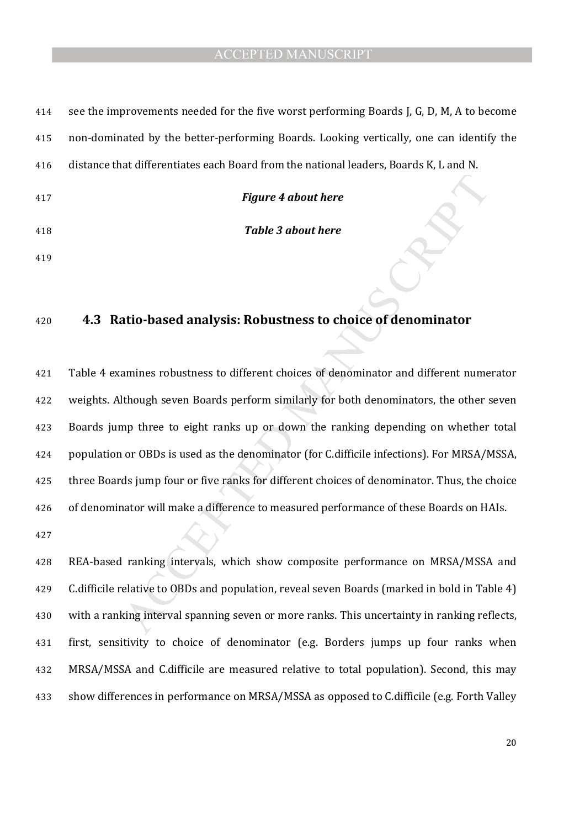| 414 | see the improvements needed for the five worst performing Boards J, G, D, M, A to become |
|-----|------------------------------------------------------------------------------------------|
| 415 | non-dominated by the better-performing Boards. Looking vertically, one can identify the  |
| 416 | distance that differentiates each Board from the national leaders, Boards K, L and N.    |
| 417 | <b>Figure 4 about here</b>                                                               |
| 418 | <b>Table 3 about here</b>                                                                |
| 419 |                                                                                          |

#### **4.3 Ratio-based analysis: Robustness to choice of denominator**

Figure 4 about here<br>
Table 3 about here<br>
Table 3 about here<br>
Atio-based analysis: Robustness to choice of denominator<br>
amines robustness to different choices of denominator and different nume<br>
though seven Boards perform s Table 4 examines robustness to different choices of denominator and different numerator weights. Although seven Boards perform similarly for both denominators, the other seven Boards jump three to eight ranks up or down the ranking depending on whether total population or OBDs is used as the denominator (for C.difficile infections). For MRSA/MSSA, three Boards jump four or five ranks for different choices of denominator. Thus, the choice of denominator will make a difference to measured performance of these Boards on HAIs. 

REA-based ranking intervals, which show composite performance on MRSA/MSSA and C.difficile relative to OBDs and population, reveal seven Boards (marked in bold in Table 4) with a ranking interval spanning seven or more ranks. This uncertainty in ranking reflects, first, sensitivity to choice of denominator (e.g. Borders jumps up four ranks when MRSA/MSSA and C.difficile are measured relative to total population). Second, this may show differences in performance on MRSA/MSSA as opposed to C.difficile (e.g. Forth Valley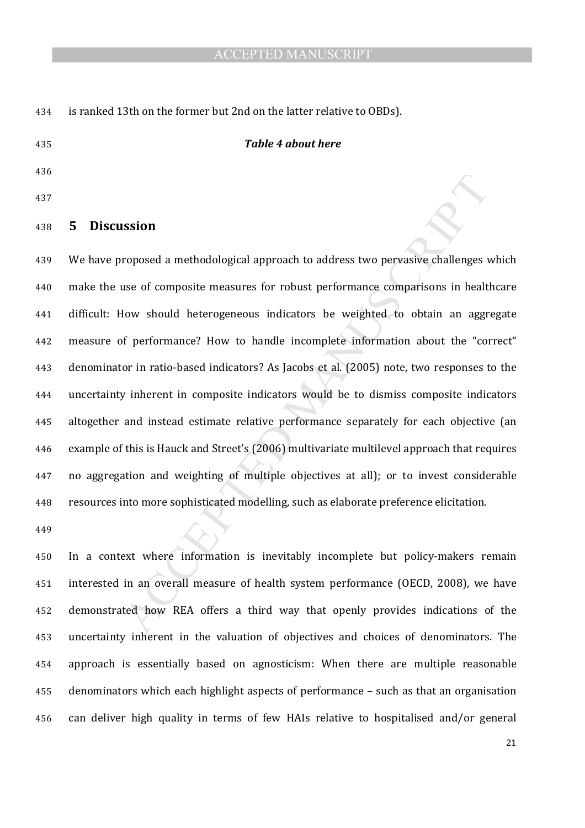is ranked 13th on the former but 2nd on the latter relative to OBDs).

#### *Table 4 about here*

 

#### **5 Discussion**

**Example 3** methodological approach to address two pervasive challenges vase of composite measures for robust performance comparisons in healt<br>low should heterogeneous indicators be weighted to obtain an aggr<br>of performanc We have proposed a methodological approach to address two pervasive challenges which make the use of composite measures for robust performance comparisons in healthcare difficult: How should heterogeneous indicators be weighted to obtain an aggregate measure of performance? How to handle incomplete information about the "correct" denominator in ratio-based indicators? As Jacobs et al. (2005) note, two responses to the uncertainty inherent in composite indicators would be to dismiss composite indicators altogether and instead estimate relative performance separately for each objective (an example of this is Hauck and Street's (2006) multivariate multilevel approach that requires no aggregation and weighting of multiple objectives at all); or to invest considerable resources into more sophisticated modelling, such as elaborate preference elicitation.

In a context where information is inevitably incomplete but policy-makers remain interested in an overall measure of health system performance (OECD, 2008), we have demonstrated how REA offers a third way that openly provides indications of the uncertainty inherent in the valuation of objectives and choices of denominators. The approach is essentially based on agnosticism: When there are multiple reasonable denominators which each highlight aspects of performance – such as that an organisation can deliver high quality in terms of few HAIs relative to hospitalised and/or general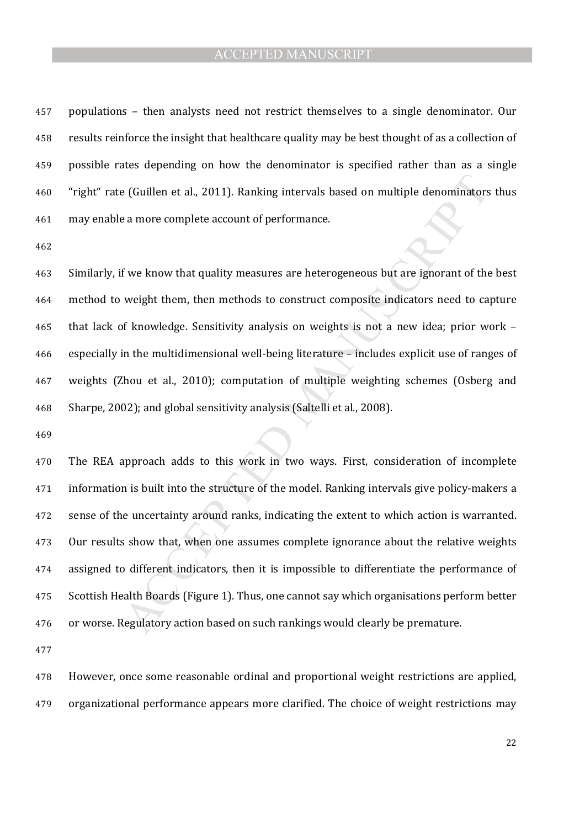populations – then analysts need not restrict themselves to a single denominator. Our results reinforce the insight that healthcare quality may be best thought of as a collection of possible rates depending on how the denominator is specified rather than as a single "right" rate (Guillen et al., 2011). Ranking intervals based on multiple denominators thus may enable a more complete account of performance.

Similarly, if we know that quality measures are heterogeneous but are ignorant of the best method to weight them, then methods to construct composite indicators need to capture that lack of knowledge. Sensitivity analysis on weights is not a new idea; prior work – especially in the multidimensional well-being literature – includes explicit use of ranges of weights (Zhou et al., 2010); computation of multiple weighting schemes (Osberg and Sharpe, 2002); and global sensitivity analysis (Saltelli et al., 2008).

e (Guillen et al., 2011). Ranking intervals based on multiple denominators<br>a more complete account of performance.<br>If we know that quality measures are heterogeneous but are ignorant of the<br>weight them, then methods to con The REA approach adds to this work in two ways. First, consideration of incomplete information is built into the structure of the model. Ranking intervals give policy-makers a sense of the uncertainty around ranks, indicating the extent to which action is warranted. Our results show that, when one assumes complete ignorance about the relative weights assigned to different indicators, then it is impossible to differentiate the performance of Scottish Health Boards (Figure 1). Thus, one cannot say which organisations perform better or worse. Regulatory action based on such rankings would clearly be premature.

However, once some reasonable ordinal and proportional weight restrictions are applied, organizational performance appears more clarified. The choice of weight restrictions may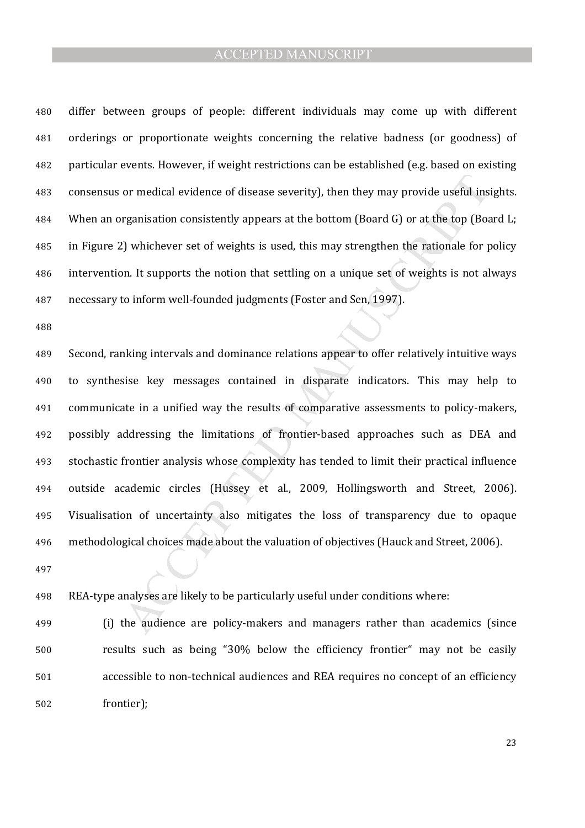differ between groups of people: different individuals may come up with different orderings or proportionate weights concerning the relative badness (or goodness) of particular events. However, if weight restrictions can be established (e.g. based on existing consensus or medical evidence of disease severity), then they may provide useful insights. When an organisation consistently appears at the bottom (Board G) or at the top (Board L; in Figure 2) whichever set of weights is used, this may strengthen the rationale for policy intervention. It supports the notion that settling on a unique set of weights is not always necessary to inform well-founded judgments (Foster and Sen, 1997).

or medical evidence of disease severity), then they may provide useful ins<br>rganisation consistently appears at the bottom (Board G) or at the top (Board G)<br>3) whichever set of weights is used, this may strengthen the ratio Second, ranking intervals and dominance relations appear to offer relatively intuitive ways to synthesise key messages contained in disparate indicators. This may help to communicate in a unified way the results of comparative assessments to policy-makers, possibly addressing the limitations of frontier-based approaches such as DEA and stochastic frontier analysis whose complexity has tended to limit their practical influence outside academic circles (Hussey et al., 2009, Hollingsworth and Street, 2006). Visualisation of uncertainty also mitigates the loss of transparency due to opaque methodological choices made about the valuation of objectives (Hauck and Street, 2006).

REA-type analyses are likely to be particularly useful under conditions where:

(i) the audience are policy-makers and managers rather than academics (since results such as being "30% below the efficiency frontier" may not be easily accessible to non-technical audiences and REA requires no concept of an efficiency frontier);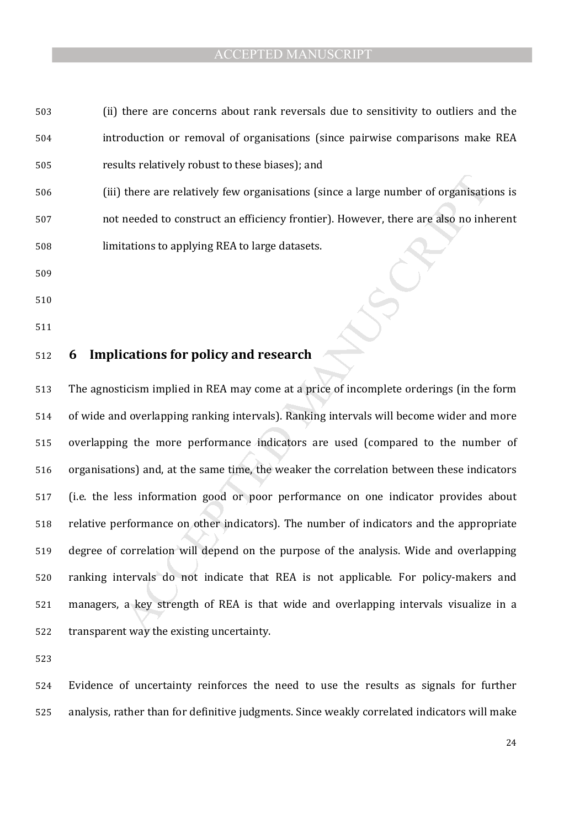- (ii) there are concerns about rank reversals due to sensitivity to outliers and the introduction or removal of organisations (since pairwise comparisons make REA results relatively robust to these biases); and
- (iii) there are relatively few organisations (since a large number of organisations is not needed to construct an efficiency frontier). However, there are also no inherent limitations to applying REA to large datasets.
- 
- 
- 

# **6 Implications for policy and research**

there are relatively few organisations (since a large number of organisation<br>needed to construct an efficiency frontier). However, there are also no inh<br>tations to applying REA to large datasets.<br><br><br>**Cations for policy and** The agnosticism implied in REA may come at a price of incomplete orderings (in the form of wide and overlapping ranking intervals). Ranking intervals will become wider and more overlapping the more performance indicators are used (compared to the number of organisations) and, at the same time, the weaker the correlation between these indicators (i.e. the less information good or poor performance on one indicator provides about relative performance on other indicators). The number of indicators and the appropriate degree of correlation will depend on the purpose of the analysis. Wide and overlapping ranking intervals do not indicate that REA is not applicable. For policy-makers and managers, a key strength of REA is that wide and overlapping intervals visualize in a transparent way the existing uncertainty.

Evidence of uncertainty reinforces the need to use the results as signals for further analysis, rather than for definitive judgments. Since weakly correlated indicators will make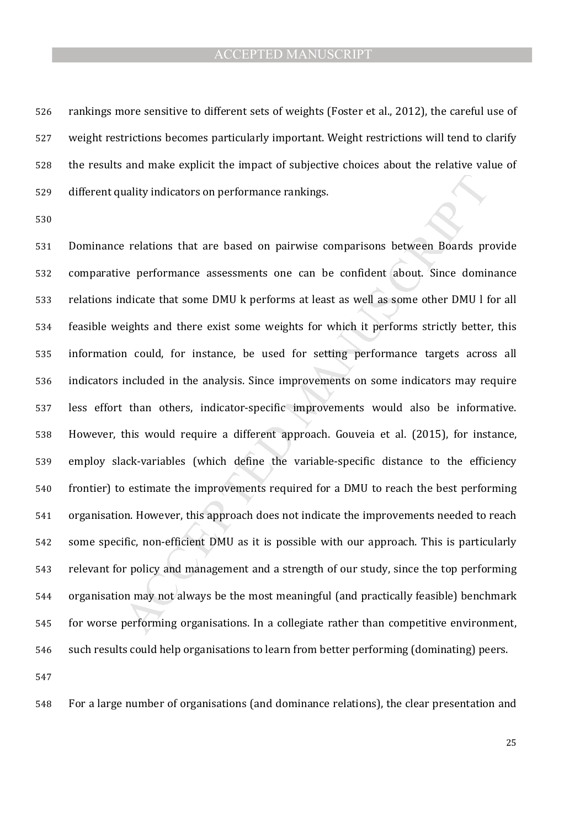rankings more sensitive to different sets of weights (Foster et al., 2012), the careful use of weight restrictions becomes particularly important. Weight restrictions will tend to clarify the results and make explicit the impact of subjective choices about the relative value of different quality indicators on performance rankings.

uality indicators on performance rankings.<br>
Perelations that are based on pairwise comparisons between Boards pr<br>
Perelations that are based on pairwise comparisons between Boards pr<br>
Perelations that some DMU k performs a Dominance relations that are based on pairwise comparisons between Boards provide comparative performance assessments one can be confident about. Since dominance relations indicate that some DMU k performs at least as well as some other DMU l for all feasible weights and there exist some weights for which it performs strictly better, this information could, for instance, be used for setting performance targets across all indicators included in the analysis. Since improvements on some indicators may require less effort than others, indicator-specific improvements would also be informative. However, this would require a different approach. Gouveia et al. (2015), for instance, employ slack-variables (which define the variable-specific distance to the efficiency frontier) to estimate the improvements required for a DMU to reach the best performing organisation. However, this approach does not indicate the improvements needed to reach some specific, non-efficient DMU as it is possible with our approach. This is particularly relevant for policy and management and a strength of our study, since the top performing organisation may not always be the most meaningful (and practically feasible) benchmark for worse performing organisations. In a collegiate rather than competitive environment, such results could help organisations to learn from better performing (dominating) peers.

For a large number of organisations (and dominance relations), the clear presentation and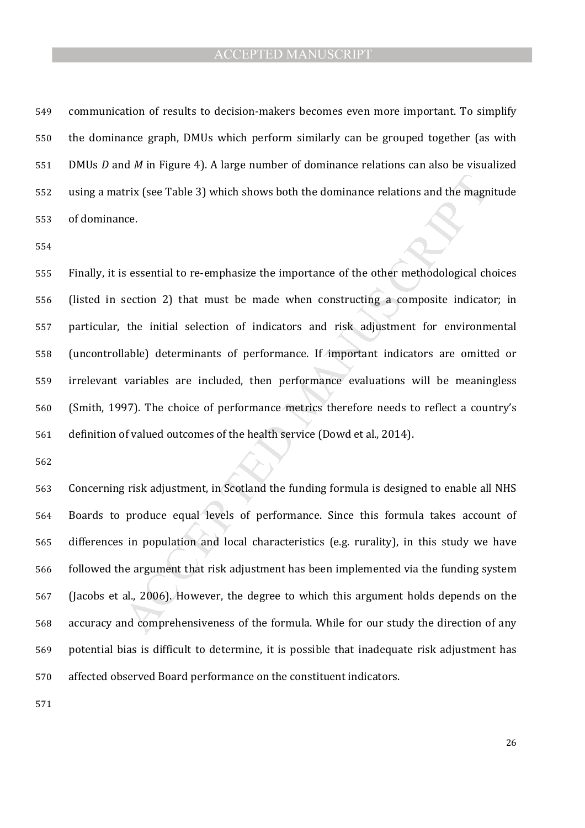communication of results to decision-makers becomes even more important. To simplify the dominance graph, DMUs which perform similarly can be grouped together (as with DMUs *D* and *M* in Figure 4). A large number of dominance relations can also be visualized using a matrix (see Table 3) which shows both the dominance relations and the magnitude of dominance.

trix (see Table 3) which shows both the dominance relations and the magn<br>ce.<br>Sessential to re-emphasize the importance of the other methodological ch<br>section 2) that must be made when constructing a composite indicator<br>the Finally, it is essential to re-emphasize the importance of the other methodological choices (listed in section 2) that must be made when constructing a composite indicator; in particular, the initial selection of indicators and risk adjustment for environmental (uncontrollable) determinants of performance. If important indicators are omitted or irrelevant variables are included, then performance evaluations will be meaningless (Smith, 1997). The choice of performance metrics therefore needs to reflect a country's definition of valued outcomes of the health service (Dowd et al., 2014).

Concerning risk adjustment, in Scotland the funding formula is designed to enable all NHS Boards to produce equal levels of performance. Since this formula takes account of differences in population and local characteristics (e.g. rurality), in this study we have followed the argument that risk adjustment has been implemented via the funding system (Jacobs et al., 2006). However, the degree to which this argument holds depends on the accuracy and comprehensiveness of the formula. While for our study the direction of any potential bias is difficult to determine, it is possible that inadequate risk adjustment has affected observed Board performance on the constituent indicators.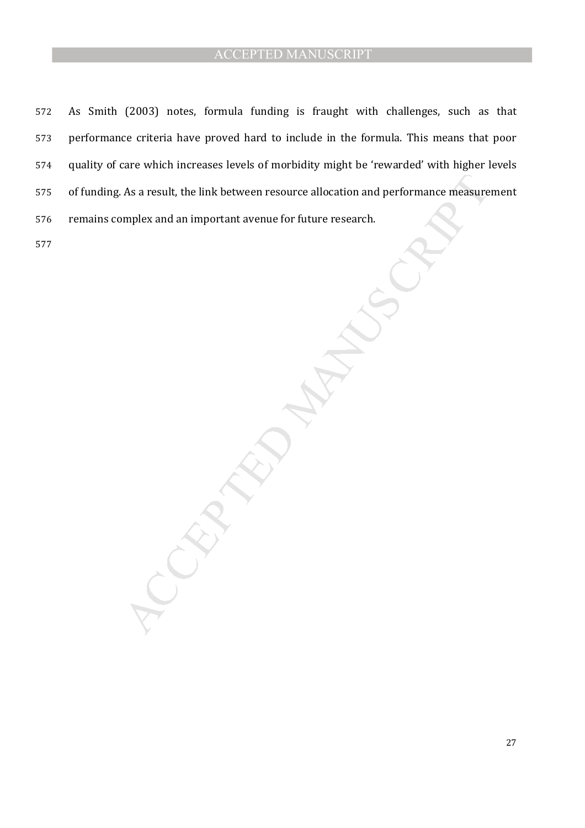As a result, the link between resource allocation and performance measure<br>mplex and an important avenue for future research. As Smith (2003) notes, formula funding is fraught with challenges, such as that performance criteria have proved hard to include in the formula. This means that poor quality of care which increases levels of morbidity might be 'rewarded' with higher levels of funding. As a result, the link between resource allocation and performance measurement remains complex and an important avenue for future research.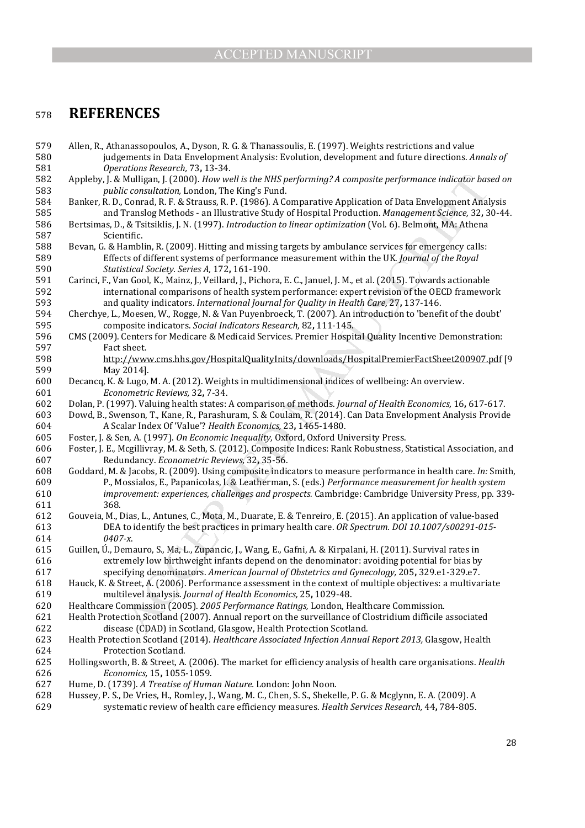#### <sup>578</sup>**REFERENCES**

Mulligan, I. (2000). How well is the MIK performing? A composite performance indicator host consultation, I. (2006). I. Comrat, R. K. Strassiss, R. (2019). Altowell, a Comratic Area (Comratic Area (Comratic Area (Comratic 579 Allen, R., Athanassopoulos, A., Dyson, R. G. & Thanassoulis, E. (1997). Weights restrictions and value 580 judgements in Data Envelopment Analysis: Evolution, development and future directions. *Annals of*  581 *Operations Research,* 73**,** 13-34. 582 Appleby, J. & Mulligan, J. (2000). *How well is the NHS performing? A composite performance indicator based on*  583 *public consultation,* London, The King's Fund. 584 Banker, R. D., Conrad, R. F. & Strauss, R. P. (1986). A Comparative Application of Data Envelopment Analysis 585 and Translog Methods - an Illustrative Study of Hospital Production. *Management Science,* 32**,** 30-44. 586 Bertsimas, D., & Tsitsiklis, J. N. (1997). *Introduction to linear optimization* (Vol. 6). Belmont, MA: Athena 587 Scientific. 588 Bevan, G. & Hamblin, R. (2009). Hitting and missing targets by ambulance services for emergency calls: 589 Effects of different systems of performance measurement within the UK. *Journal of the Royal*  590 *Statistical Society. Series A,* 172**,** 161-190. 591 Carinci, F., Van Gool, K., Mainz, J., Veillard, J., Pichora, E. C., Januel, J. M., et al. (2015). Towards actionable 592 international comparisons of health system performance: expert revision of the OECD framework 593 and quality indicators. *International Journal for Quality in Health Care,* 27**,** 137-146. 594 Cherchye, L., Moesen, W., Rogge, N. & Van Puyenbroeck, T. (2007). An introduction to 'benefit of the doubt' 595 composite indicators. *Social Indicators Research,* 82**,** 111-145. 596 CMS (2009). Centers for Medicare & Medicaid Services. Premier Hospital Quality Incentive Demonstration: 597 Fact sheet. 598 http://www.cms.hhs.gov/HospitalQualityInits/downloads/HospitalPremierFactSheet200907.pdf [9]<br>599 May 2014]. May 2014]. 600 Decancq, K. & Lugo, M. A. (2012). Weights in multidimensional indices of wellbeing: An overview. 601 *Econometric Reviews,* 32**,** 7-34. 602 Dolan, P. (1997). Valuing health states: A comparison of methods. *Journal of Health Economics,* 16**,** 617-617. 603 Dowd, B., Swenson, T., Kane, R., Parashuram, S. & Coulam, R. (2014). Can Data Envelopment Analysis Provide 604 A Scalar Index Of 'Value'? *Health Economics,* 23**,** 1465-1480. 605 Foster, J. & Sen, A. (1997). *On Economic Inequality,* Oxford, Oxford University Press. 606 Foster, J. E., Mcgillivray, M. & Seth, S. (2012). Composite Indices: Rank Robustness, Statistical Association, and 607 Redundancy. *Econometric Reviews,* 32**,** 35-56. 608 Goddard, M. & Jacobs, R. (2009). Using composite indicators to measure performance in health care. *In:* Smith, 609 P., Mossialos, E., Papanicolas, I. & Leatherman, S. (eds.) *Performance measurement for health system*  610 *improvement: experiences, challenges and prospects.* Cambridge: Cambridge University Press, pp. 339- 611 368. 612 Gouveia, M., Dias, L., Antunes, C., Mota, M., Duarate, E. & Tenreiro, E. (2015). An application of value-based 613 DEA to identify the best practices in primary health care. *OR Spectrum. DOI 10.1007/s00291-015-* 614 *0407-x*. 615 Guillen, Ú., Demauro, S., Ma, L., Zupancic, J., Wang, E., Gafni, A. & Kirpalani, H. (2011). Survival rates in 616 extremely low birthweight infants depend on the denominator: avoiding potential for bias by 617 specifying denominators. *American Journal of Obstetrics and Gynecology,* 205**,** 329.e1-329.e7. 618 Hauck, K. & Street, A. (2006). Performance assessment in the context of multiple objectives: a multivariate 619 multilevel analysis. *Journal of Health Economics,* 25**,** 1029-48. 620 Healthcare Commission (2005). *2005 Performance Ratings,* London, Healthcare Commission. 621 Health Protection Scotland (2007). Annual report on the surveillance of Clostridium difficile associated 622 disease (CDAD) in Scotland*,* Glasgow, Health Protection Scotland. 623 Health Protection Scotland (2014). *Healthcare Associated Infection Annual Report 2013,* Glasgow, Health 624 Protection Scotland. 625 Hollingsworth, B. & Street, A. (2006). The market for efficiency analysis of health care organisations. *Health*  626 *Economics,* 15**,** 1055-1059. 627 Hume, D. (1739). *A Treatise of Human Nature.* London: John Noon. 628 Hussey, P. S., De Vries, H., Romley, J., Wang, M. C., Chen, S. S., Shekelle, P. G. & Mcglynn, E. A. (2009). A 629 systematic review of health care efficiency measures. *Health Services Research,* 44**,** 784-805.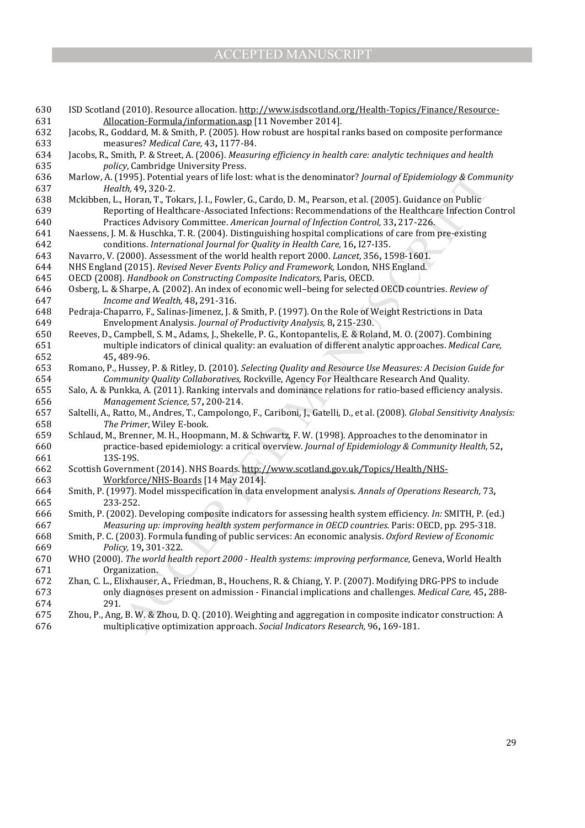1995). Potential years of life lost: what is the denominator? Journal of Epidemiology & Comm<br>1995). Poten, T, Tokars, J, I, Fowler, G., Cardo, D. M, Pearson, et al. (2005). Guidance on Public<br>rtring of Healthcare-Associate 630 ISD Scotland (2010). Resource allocation. http://www.isdscotland.org/Health-Topics/Finance/Resource-631 Allocation-Formula/information.asp [11 November 2014]. 632 Jacobs, R., Goddard, M. & Smith, P. (2005). How robust are hospital ranks based on composite performance 633 measures? *Medical Care,* 43**,** 1177-84. 634 Jacobs, R., Smith, P. & Street, A. (2006). *Measuring efficiency in health care: analytic techniques and health*  635 *policy*, Cambridge University Press. 636 Marlow, A. (1995). Potential years of life lost: what is the denominator? *Journal of Epidemiology & Community*  637 *Health,* 49**,** 320-2. 638 Mckibben, L., Horan, T., Tokars, J. I., Fowler, G., Cardo, D. M., Pearson, et al. (2005). Guidance on Public 639 Reporting of Healthcare-Associated Infections: Recommendations of the Healthcare Infection Control 640 Practices Advisory Committee. *American Journal of Infection Control,* 33**,** 217-226. 641 Naessens, J. M. & Huschka, T. R. (2004). Distinguishing hospital complications of care from pre-existing 642 conditions. *International Journal for Quality in Health Care,* 16**,** I27-I35. 643 Navarro, V. (2000). Assessment of the world health report 2000. *Lancet,* 356**,** 1598-1601. 644 NHS England (2015). *Revised Never Events Policy and Framework,* London, NHS England. 645 OECD (2008). *Handbook on Constructing Composite Indicators,* Paris, OECD. 646 Osberg, L. & Sharpe, A. (2002). An index of economic well–being for selected OECD countries. *Review of*  647 *Income and Wealth,* 48**,** 291-316. 648 Pedraja-Chaparro, F., Salinas-Jimenez, J. & Smith, P. (1997). On the Role of Weight Restrictions in Data 649 Envelopment Analysis. *Journal of Productivity Analysis,* 8**,** 215-230. 650 Reeves, D., Campbell, S. M., Adams, J., Shekelle, P. G., Kontopantelis, E. & Roland, M. O. (2007). Combining 651 multiple indicators of clinical quality: an evaluation of different analytic approaches. *Medical Care,* 652 45**,** 489-96. 653 Romano, P., Hussey, P. & Ritley, D. (2010). *Selecting Quality and Resource Use Measures: A Decision Guide for*  654 *Community Quality Collaboratives,* Rockville, Agency For Healthcare Research And Quality. 655 Salo, A. & Punkka, A. (2011). Ranking intervals and dominance relations for ratio-based efficiency analysis. 656 *Management Science,* 57**,** 200-214. 657 Saltelli, A., Ratto, M., Andres, T., Campolongo, F., Cariboni, J., Gatelli, D., et al. (2008). *Global Sensitivity Analysis:*  658 *The Primer*, Wiley E-book. 659 Schlaud, M., Brenner, M. H., Hoopmann, M. & Schwartz, F. W. (1998). Approaches to the denominator in 660 practice-based epidemiology: a critical overview. *Journal of Epidemiology & Community Health,* 52**,** 661 13S-19S. 662 Scottish Government (2014). NHS Boards. http://www.scotland.gov.uk/Topics/Health/NHS-663 Workforce/NHS-Boards [14 May 2014]. 664 Smith, P. (1997). Model misspecification in data envelopment analysis. *Annals of Operations Research,* 73**,** 665 233-252. 666 Smith, P. (2002). Developing composite indicators for assessing health system efficiency. *In:* SMITH, P. (ed.) 667 *Measuring up: improving health system performance in OECD countries.* Paris: OECD, pp. 295-318. 668 Smith, P. C. (2003). Formula funding of public services: An economic analysis. *Oxford Review of Economic*  669 *Policy,* 19**,** 301-322. 670 WHO (2000). *The world health report 2000 - Health systems: improving performance,* Geneva, World Health 671 Organization. 672 Zhan, C. L., Elixhauser, A., Friedman, B., Houchens, R. & Chiang, Y. P. (2007). Modifying DRG-PPS to include 673 only diagnoses present on admission - Financial implications and challenges. *Medical Care,* 45**,** 288- 674 291. 675 Zhou, P., Ang, B. W. & Zhou, D. Q. (2010). Weighting and aggregation in composite indicator construction: A 676 multiplicative optimization approach. *Social Indicators Research,* 96**,** 169-181.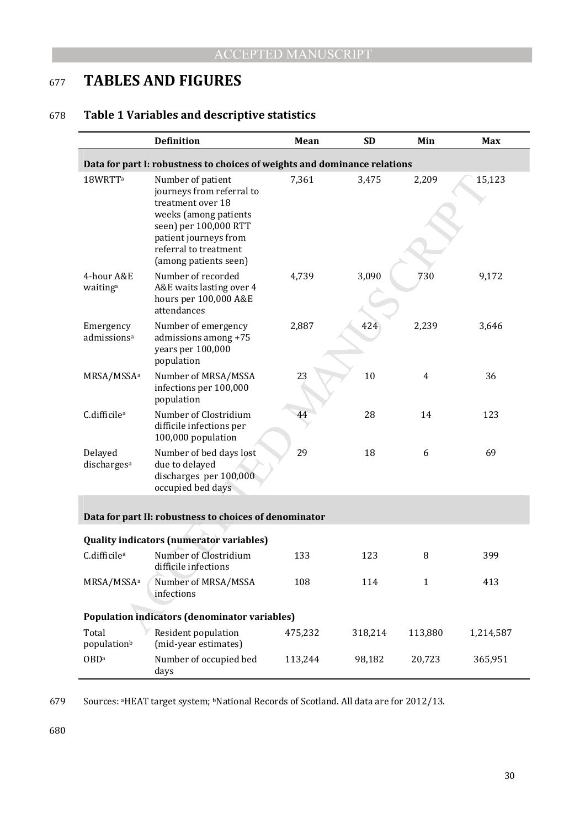# <sup>677</sup>**TABLES AND FIGURES**

# 678 **Table 1 Variables and descriptive statistics**

|                                                                           | <b>Definition</b>                                                                                                                                                                                | Mean    | <b>SD</b> | Min          | <b>Max</b> |  |  |  |  |  |  |
|---------------------------------------------------------------------------|--------------------------------------------------------------------------------------------------------------------------------------------------------------------------------------------------|---------|-----------|--------------|------------|--|--|--|--|--|--|
| Data for part I: robustness to choices of weights and dominance relations |                                                                                                                                                                                                  |         |           |              |            |  |  |  |  |  |  |
| 18WRTT <sup>a</sup>                                                       | Number of patient<br>journeys from referral to<br>treatment over 18<br>weeks (among patients<br>seen) per 100,000 RTT<br>patient journeys from<br>referral to treatment<br>(among patients seen) | 7,361   | 3,475     | 2,209        | 15,123     |  |  |  |  |  |  |
| 4-hour A&E<br>waiting <sup>a</sup>                                        | Number of recorded<br>A&E waits lasting over 4<br>hours per 100,000 A&E<br>attendances                                                                                                           | 4,739   | 3,090     | 730          | 9,172      |  |  |  |  |  |  |
| Emergency<br>admissions <sup>a</sup>                                      | Number of emergency<br>admissions among +75<br>years per 100,000<br>population                                                                                                                   | 2,887   | 424       | 2,239        | 3,646      |  |  |  |  |  |  |
| MRSA/MSSA <sup>a</sup>                                                    | Number of MRSA/MSSA<br>infections per 100,000<br>population                                                                                                                                      | 23      | 10        | 4            | 36         |  |  |  |  |  |  |
| C.difficile <sup>a</sup>                                                  | Number of Clostridium<br>difficile infections per<br>100,000 population                                                                                                                          | 44      | 28        | 14           | 123        |  |  |  |  |  |  |
| Delayed<br>discharges <sup>a</sup>                                        | Number of bed days lost<br>due to delayed<br>discharges per 100,000<br>occupied bed days                                                                                                         | 29      | 18        | 6            | 69         |  |  |  |  |  |  |
|                                                                           | Data for part II: robustness to choices of denominator                                                                                                                                           |         |           |              |            |  |  |  |  |  |  |
|                                                                           | <b>Quality indicators (numerator variables)</b>                                                                                                                                                  |         |           |              |            |  |  |  |  |  |  |
| C.difficile <sup>a</sup>                                                  | Number of Clostridium<br>difficile infections                                                                                                                                                    | 133     | 123       | 8            | 399        |  |  |  |  |  |  |
| MRSA/MSSA <sup>a</sup>                                                    | Number of MRSA/MSSA<br>infections                                                                                                                                                                | 108     | 114       | $\mathbf{1}$ | 413        |  |  |  |  |  |  |
|                                                                           | <b>Population indicators (denominator variables)</b>                                                                                                                                             |         |           |              |            |  |  |  |  |  |  |
| Total<br>populationb                                                      | Resident population<br>(mid-year estimates)                                                                                                                                                      | 475,232 | 318,214   | 113,880      | 1,214,587  |  |  |  |  |  |  |
| <b>OBDa</b>                                                               | Number of occupied bed<br>days                                                                                                                                                                   | 113,244 | 98,182    | 20,723       | 365,951    |  |  |  |  |  |  |

679 Sources: <sup>a</sup>HEAT target system; <sup>b</sup>National Records of Scotland. All data are for 2012/13.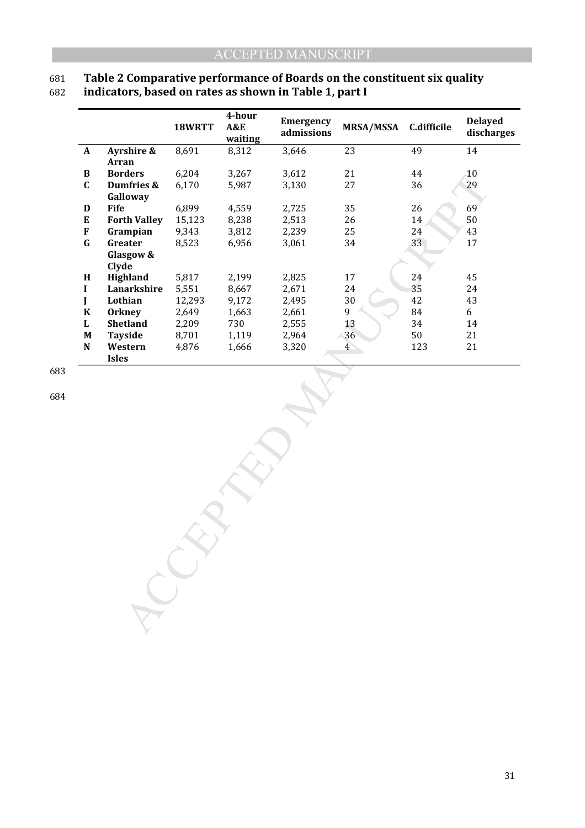### 681 **Table 2 Comparative performance of Boards on the constituent six quality**  682 **indicators, based on rates as shown in Table 1, part I**

|              |                     | 18WRTT | 4-hour<br>A&E<br>waiting | Emergency<br>admissions | <b>MRSA/MSSA</b> | <b>C.difficile</b> | <b>Delayed</b><br>discharges |
|--------------|---------------------|--------|--------------------------|-------------------------|------------------|--------------------|------------------------------|
| $\mathbf{A}$ | Ayrshire &          | 8,691  | 8,312                    | 3,646                   | 23               | 49                 | 14                           |
|              | Arran               |        |                          |                         |                  |                    |                              |
| B            | <b>Borders</b>      | 6,204  | 3,267                    | 3,612                   | 21               | 44                 | 10                           |
| $\mathbf C$  | Dumfries &          | 6,170  | 5,987                    | 3,130                   | 27               | 36                 | 29                           |
|              | Galloway            |        |                          |                         |                  |                    |                              |
| D            | <b>Fife</b>         | 6,899  | 4,559                    | 2,725                   | 35               | 26                 | 69                           |
| E            | <b>Forth Valley</b> | 15,123 | 8,238                    | 2,513                   | 26               | 14                 | 50                           |
| F            | Grampian            | 9,343  | 3,812                    | 2,239                   | 25               | 24                 | 43                           |
| $\mathbf G$  | Greater             | 8,523  | 6,956                    | 3,061                   | 34               | 33                 | 17                           |
|              | Glasgow &           |        |                          |                         |                  |                    |                              |
|              | Clyde               |        |                          |                         |                  |                    |                              |
| H            | Highland            | 5,817  | 2,199                    | 2,825                   | 17               | 24                 | 45                           |
| $\mathbf I$  | Lanarkshire         | 5,551  | 8,667                    | 2,671                   | 24               | 35                 | 24                           |
| $\mathbf{J}$ | Lothian             | 12,293 | 9,172                    | 2,495                   | 30               | 42                 | 43                           |
| $\bf K$      | <b>Orkney</b>       | 2,649  | 1,663                    | 2,661                   | 9                | 84                 | 6                            |
| $\mathbf L$  | Shetland            | 2,209  | 730                      | 2,555                   | 13               | 34                 | 14                           |
| $\mathbf M$  | <b>Tayside</b>      | 8,701  | 1,119                    | 2,964                   | 36               | 50                 | 21                           |
| ${\bf N}$    | Western             | 4,876  | 1,666                    | 3,320                   | $\overline{4}$   | 123                | 21                           |
|              | <b>Isles</b>        |        |                          |                         |                  |                    |                              |
|              |                     |        |                          |                         |                  |                    |                              |

683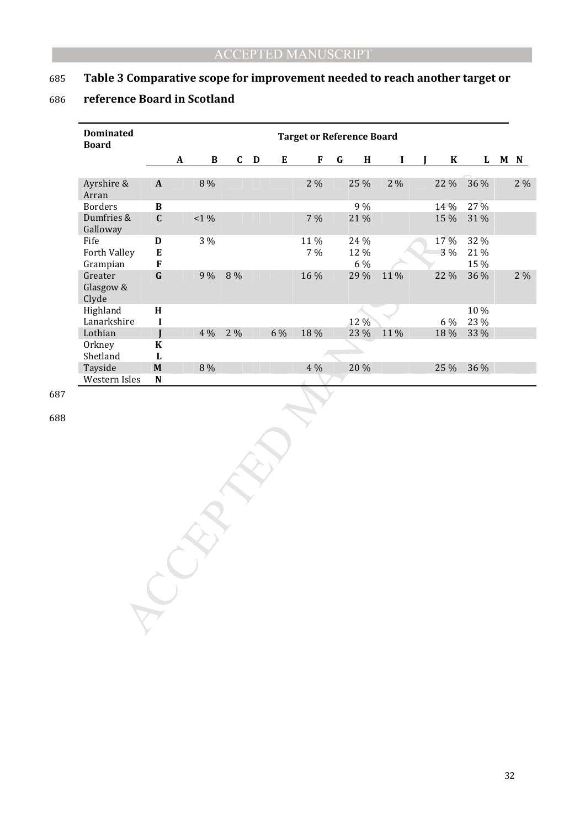# 685 **Table 3 Comparative scope for improvement needed to reach another target or**

# 686 **reference Board in Scotland**

| <b>Dominated</b><br><b>Board</b> | <b>Target or Reference Board</b>        |           |              |             |             |           |             |         |                     |             |            |                     |  |       |
|----------------------------------|-----------------------------------------|-----------|--------------|-------------|-------------|-----------|-------------|---------|---------------------|-------------|------------|---------------------|--|-------|
|                                  |                                         | $\pmb{A}$ | $\, {\bf B}$ | $\mathbf C$ | $\mathbf D$ | ${\bf E}$ | $\bf F$     | $\bf G$ | $\mathbf H$         | $\mathbf I$ | $\bf K$    | $\mathbf{L}$        |  | M N   |
| Ayrshire &<br>Arran              | $\boldsymbol{\mathsf{A}}$               |           | $8\,\%$      |             |             |           | $2\%$       |         | 25 %                | $2\%$       | 22 %       | 36 %                |  | $2\%$ |
| <b>Borders</b>                   | $\, {\bf B}$                            |           |              |             |             |           |             |         | 9 %                 |             | 14 %       | 27 %                |  |       |
| Dumfries &<br>Galloway           | $\mathbf C$                             |           | $1\%$        |             |             |           | 7 %         |         | 21 %                |             | 15 %       | 31 %                |  |       |
| Fife<br>Forth Valley<br>Grampian | $\mathbf D$<br>${\bf E}$<br>$\mathbf F$ |           | 3 %          |             |             |           | 11 %<br>7 % |         | 24 %<br>12 %<br>6 % |             | 17%<br>3 % | 32 %<br>21%<br>15 % |  |       |
| Greater<br>Glasgow &<br>Clyde    | $\mathbf G$                             |           | 9 %          | $8\,\%$     |             |           | 16 %        |         | 29 %                | 11 %        | 22 %       | 36 %                |  | $2\%$ |
| Highland                         | $\mathbf H$                             |           |              |             |             |           |             |         |                     |             |            | 10 %                |  |       |
| Lanarkshire                      | $\mathbf I$                             |           |              |             |             |           |             |         | 12 %                |             | 6 %        | 23 %                |  |       |
| Lothian                          | J                                       |           | 4 %          | 2 %         |             | 6 %       | 18 %        |         | 23 %                | 11%         | 18 %       | 33 %                |  |       |
| Orkney                           | $\bf K$                                 |           |              |             |             |           |             |         |                     |             |            |                     |  |       |
| Shetland                         | $\mathbf L$                             |           |              |             |             |           |             |         |                     |             |            |                     |  |       |
| Tayside                          | $\boldsymbol{\mathrm{M}}$               |           | $8\,\%$      |             |             |           | 4 %         |         | 20 %                |             | 25 %       | 36 %                |  |       |
| Western Isles                    | ${\bf N}$                               |           |              |             |             |           |             |         |                     |             |            |                     |  |       |
|                                  |                                         |           |              |             |             |           |             |         |                     |             |            |                     |  |       |
|                                  |                                         |           |              |             |             |           |             |         |                     |             |            |                     |  |       |

687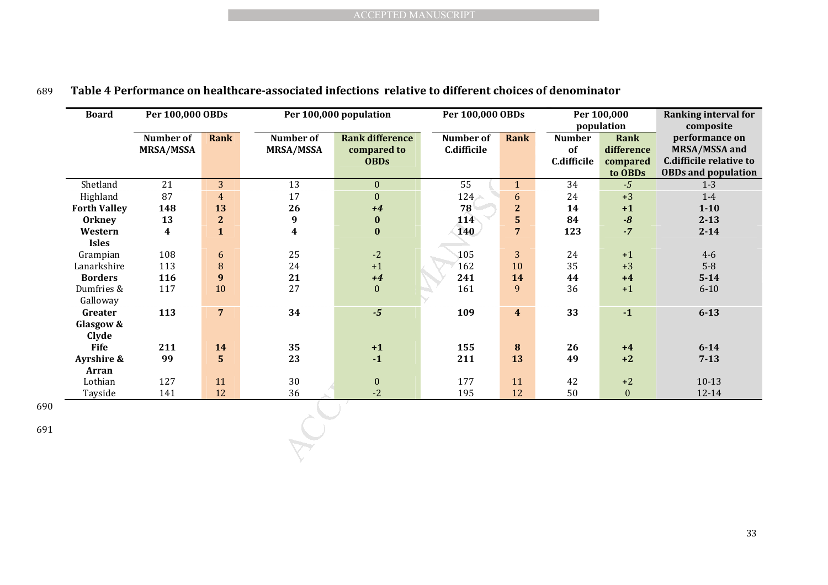| <b>Board</b>           | Per 100,000 OBDs |                 | Per 100,000 population | Per 100,000 OBDs       |                  |                         | Per 100,000   | <b>Ranking interval for</b> |                                |  |
|------------------------|------------------|-----------------|------------------------|------------------------|------------------|-------------------------|---------------|-----------------------------|--------------------------------|--|
|                        |                  |                 |                        |                        |                  |                         | <b>Number</b> | population                  | composite                      |  |
|                        | Number of        | Rank            | Number of              | <b>Rank difference</b> | <b>Number</b> of | <b>Rank</b>             |               | Rank                        | performance on                 |  |
|                        | <b>MRSA/MSSA</b> |                 | <b>MRSA/MSSA</b>       | compared to            | C.difficile      |                         | of            | difference                  | <b>MRSA/MSSA and</b>           |  |
|                        |                  |                 |                        | <b>OBDs</b>            |                  |                         | C.difficile   | compared                    | <b>C.difficile relative to</b> |  |
|                        |                  |                 |                        |                        |                  |                         |               | to OBDs                     | <b>OBDs and population</b>     |  |
| Shetland               | 21               | 3               | 13                     | $\mathbf{0}$           | 55               | $\mathbf{1}$            | 34            | $-5$                        | $1 - 3$                        |  |
| Highland               | 87               | $\overline{4}$  | 17                     | $\boldsymbol{0}$       | $124 -$          | 6                       | 24            | $+3$                        | $1-4$                          |  |
| <b>Forth Valley</b>    | 148              | 13              | 26                     | $+4$                   | 78               | $\mathbf{2}$            | 14            | $+1$                        | $1 - 10$                       |  |
| <b>Orkney</b>          | 13               | $\mathbf{2}$    | $\boldsymbol{9}$       | $\pmb{0}$              | $11\overline{4}$ | ${\bf 5}$               | 84            | $\textbf{-8}$               | $2 - 13$                       |  |
| Western                | 4                | $\mathbf{1}$    | 4                      | $\bf{0}$               | 140              | $\overline{7}$          | 123           | $-7$                        | $2 - 14$                       |  |
| <b>Isles</b>           |                  |                 |                        |                        |                  |                         |               |                             |                                |  |
| Grampian               | 108              | $6\phantom{.}6$ | 25                     | $-2$                   | 105              | 3                       | 24            | $+1$                        | $4 - 6$                        |  |
| Lanarkshire            | 113              | $\, 8$          | 24                     | $+1$                   | 162              | 10                      | 35            | $+3$                        | $5-8$                          |  |
| <b>Borders</b>         | 116              | 9               | 21                     | $+4$                   | 241              | 14                      | 44            | $+4$                        | $5 - 14$                       |  |
| Dumfries &<br>Galloway | 117              | 10              | 27                     | $\mathbf{0}$           | 161              | 9                       | 36            | $+1$                        | $6 - 10$                       |  |
| Greater                | 113              | $\overline{7}$  | 34                     | $-5$                   | 109              | $\overline{\mathbf{4}}$ | 33            | $\mathbf{-1}$               | $6 - 13$                       |  |
| Glasgow &<br>Clyde     |                  |                 |                        |                        |                  |                         |               |                             |                                |  |
| <b>Fife</b>            | 211              | 14              | 35                     | $+1$                   | 155              | 8                       | 26            | $+4$                        | $6 - 14$                       |  |
| Ayrshire &             | 99               | $5\phantom{.}$  | 23                     | $-1$                   | 211              | 13                      | 49            | $+2$                        | $7 - 13$                       |  |
| <b>Arran</b>           |                  |                 |                        |                        |                  |                         |               |                             |                                |  |
| Lothian                | 127              | 11              | 30                     | $\mathbf{0}$           | 177              | 11                      | 42            | $+2$                        | $10-13$                        |  |
|                        | 141              | 12              | 36                     | $-2$                   | 195              | 12                      | 50            | $\boldsymbol{0}$            | 12-14                          |  |
| Tayside                |                  |                 |                        |                        |                  |                         |               |                             |                                |  |

### 689 **Table 4 Performance on healthcare-associated infections relative to different choices of denominator**

690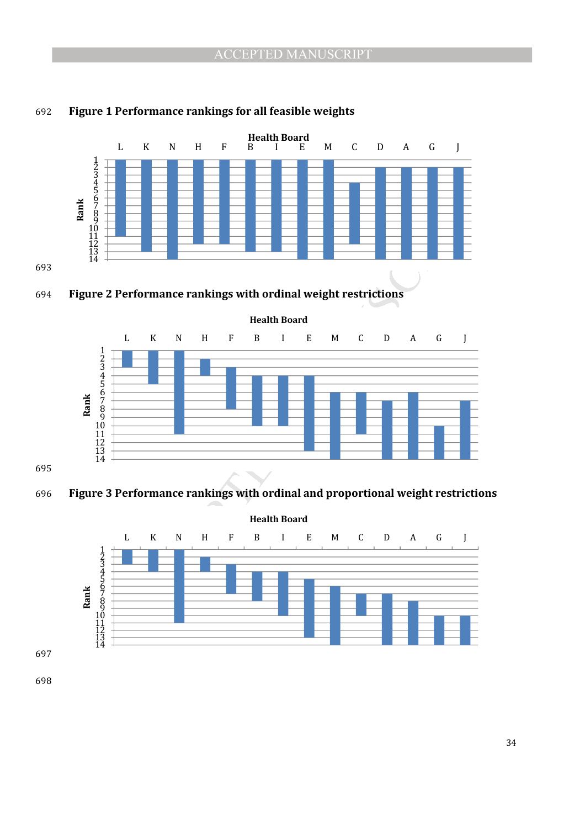

#### **Figure 1 Performance rankings for all feasible weights**







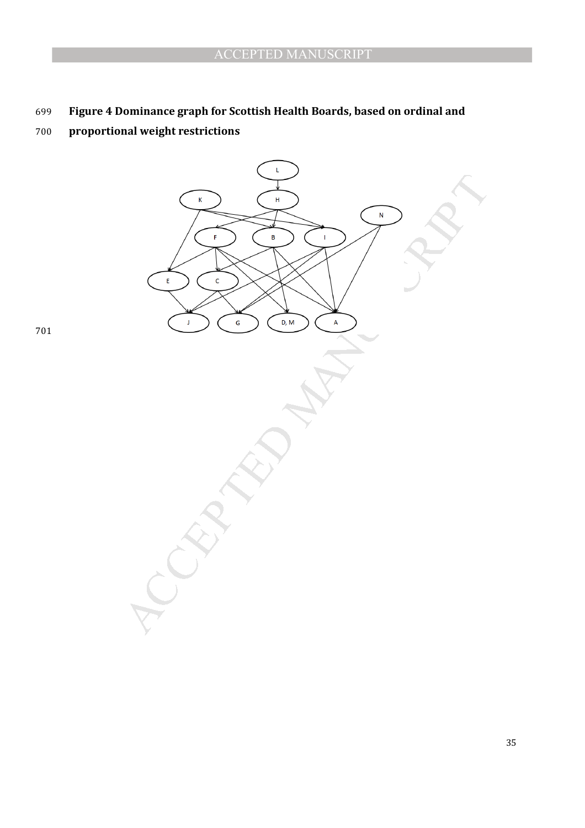# **Figure 4 Dominance graph for Scottish Health Boards, based on ordinal and**

# **proportional weight restrictions**

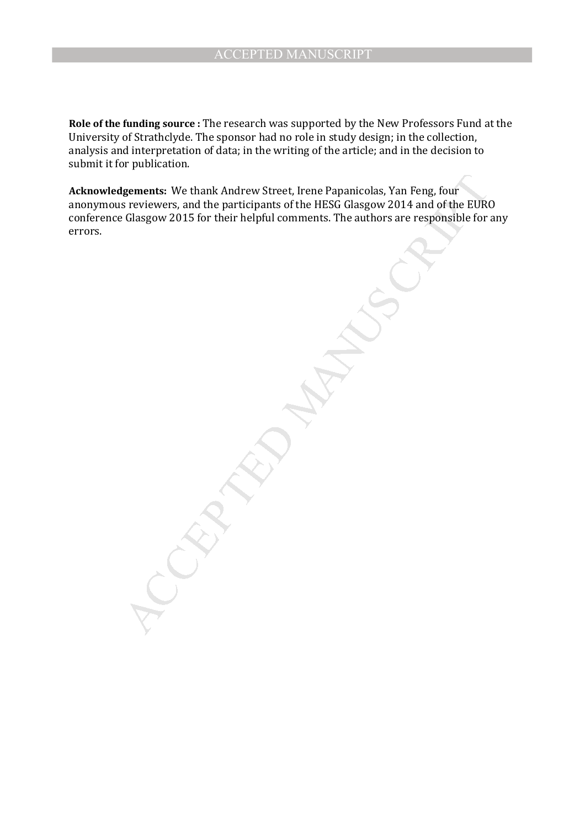**Role of the funding source :** The research was supported by the New Professors Fund at the University of Strathclyde. The sponsor had no role in study design; in the collection, analysis and interpretation of data; in the writing of the article; and in the decision to submit it for publication.

Igements: We thank Andrew Street, Irene Papanicolas, Yan Feng, four<br>s reviewers, and the participants of the HESG Glasgow 2014 and of the EUR<br>Glasgow 2015 for their helpful comments. The authors are responsible for<br>for the **Acknowledgements:** We thank Andrew Street, Irene Papanicolas, Yan Feng, four anonymous reviewers, and the participants of the HESG Glasgow 2014 and of the EURO conference Glasgow 2015 for their helpful comments. The authors are responsible for any errors.